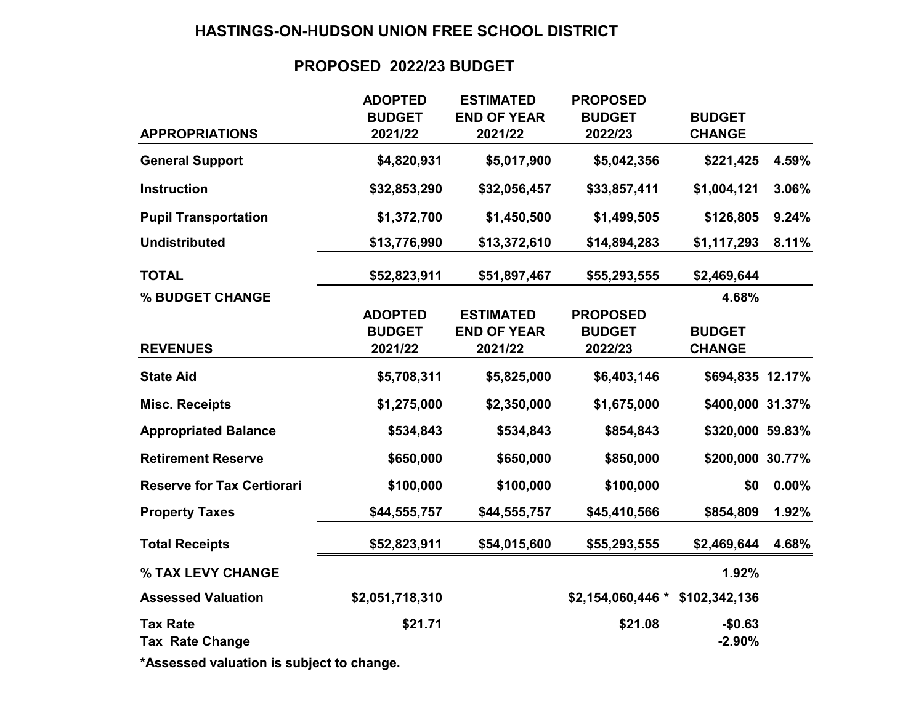# **HASTINGS-ON-HUDSON UNION FREE SCHOOL DISTRICT**

# **PROPOSED 2022/23 BUDGET**

|                                           | <b>ADOPTED</b>  | <b>ESTIMATED</b>   | <b>PROPOSED</b>    |                      |       |
|-------------------------------------------|-----------------|--------------------|--------------------|----------------------|-------|
|                                           | <b>BUDGET</b>   | <b>END OF YEAR</b> | <b>BUDGET</b>      | <b>BUDGET</b>        |       |
| <b>APPROPRIATIONS</b>                     | 2021/22         | 2021/22            | 2022/23            | <b>CHANGE</b>        |       |
| <b>General Support</b>                    | \$4,820,931     | \$5,017,900        | \$5,042,356        | \$221,425            | 4.59% |
| <b>Instruction</b>                        | \$32,853,290    | \$32,056,457       | \$33,857,411       | \$1,004,121          | 3.06% |
| <b>Pupil Transportation</b>               | \$1,372,700     | \$1,450,500        | \$1,499,505        | \$126,805            | 9.24% |
| <b>Undistributed</b>                      | \$13,776,990    | \$13,372,610       | \$14,894,283       | \$1,117,293          | 8.11% |
| <b>TOTAL</b>                              | \$52,823,911    | \$51,897,467       | \$55,293,555       | \$2,469,644          |       |
| % BUDGET CHANGE                           |                 |                    |                    | 4.68%                |       |
|                                           | <b>ADOPTED</b>  | <b>ESTIMATED</b>   | <b>PROPOSED</b>    |                      |       |
|                                           | <b>BUDGET</b>   | <b>END OF YEAR</b> | <b>BUDGET</b>      | <b>BUDGET</b>        |       |
| <b>REVENUES</b>                           | 2021/22         | 2021/22            | 2022/23            | <b>CHANGE</b>        |       |
| <b>State Aid</b>                          | \$5,708,311     | \$5,825,000        | \$6,403,146        | \$694,835 12.17%     |       |
| <b>Misc. Receipts</b>                     | \$1,275,000     | \$2,350,000        | \$1,675,000        | \$400,000 31.37%     |       |
| <b>Appropriated Balance</b>               | \$534,843       | \$534,843          | \$854,843          | \$320,000 59.83%     |       |
| <b>Retirement Reserve</b>                 | \$650,000       | \$650,000          | \$850,000          | \$200,000 30.77%     |       |
| <b>Reserve for Tax Certiorari</b>         | \$100,000       | \$100,000          | \$100,000          | \$0                  | 0.00% |
| <b>Property Taxes</b>                     | \$44,555,757    | \$44,555,757       | \$45,410,566       | \$854,809            | 1.92% |
| <b>Total Receipts</b>                     | \$52,823,911    | \$54,015,600       | \$55,293,555       | \$2,469,644          | 4.68% |
| % TAX LEVY CHANGE                         |                 |                    |                    | 1.92%                |       |
| <b>Assessed Valuation</b>                 | \$2,051,718,310 |                    | $$2,154,060,446$ * | \$102,342,136        |       |
| <b>Tax Rate</b><br><b>Tax Rate Change</b> | \$21.71         |                    | \$21.08            | $-$0.63$<br>$-2.90%$ |       |
|                                           |                 |                    |                    |                      |       |

**\*Assessed valuation is subject to change.**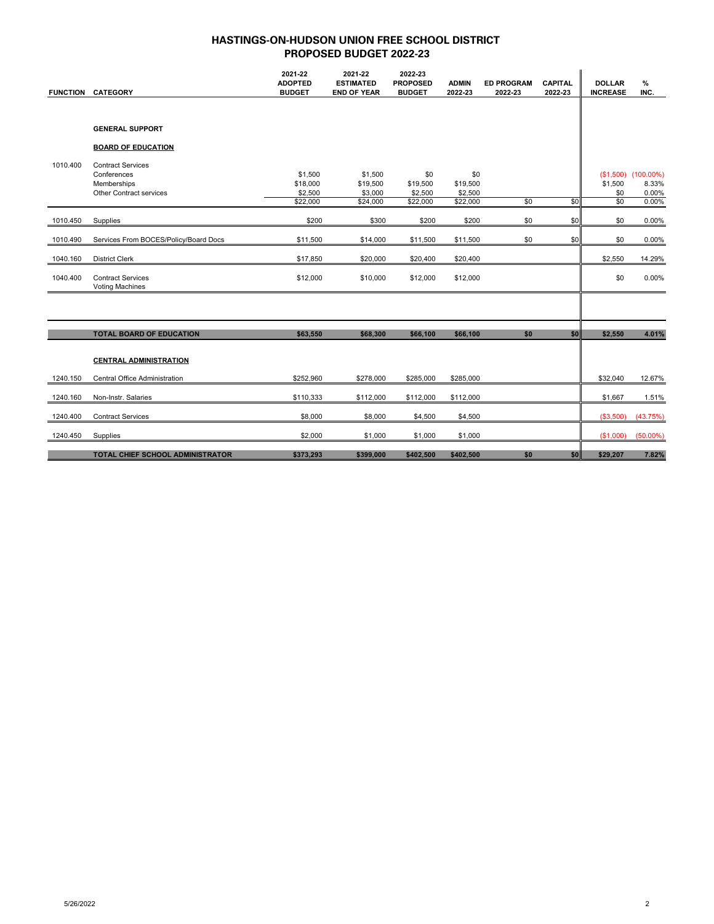| <b>FUNCTION</b> | <b>CATEGORY</b>                                    | 2021-22<br><b>ADOPTED</b><br><b>BUDGET</b> | 2021-22<br><b>ESTIMATED</b><br><b>END OF YEAR</b> | 2022-23<br><b>PROPOSED</b><br><b>BUDGET</b> | <b>ADMIN</b><br>2022-23 | <b>ED PROGRAM</b><br>2022-23 | <b>CAPITAL</b><br>2022-23 | <b>DOLLAR</b><br><b>INCREASE</b> | %<br>INC.      |
|-----------------|----------------------------------------------------|--------------------------------------------|---------------------------------------------------|---------------------------------------------|-------------------------|------------------------------|---------------------------|----------------------------------|----------------|
|                 |                                                    |                                            |                                                   |                                             |                         |                              |                           |                                  |                |
|                 |                                                    |                                            |                                                   |                                             |                         |                              |                           |                                  |                |
|                 | <b>GENERAL SUPPORT</b>                             |                                            |                                                   |                                             |                         |                              |                           |                                  |                |
|                 | <b>BOARD OF EDUCATION</b>                          |                                            |                                                   |                                             |                         |                              |                           |                                  |                |
| 1010.400        | <b>Contract Services</b>                           |                                            |                                                   |                                             |                         |                              |                           |                                  |                |
|                 | Conferences                                        | \$1,500                                    | \$1,500                                           | \$0                                         | \$0                     |                              |                           | (S1,500)                         | $(100.00\%)$   |
|                 | Memberships<br>Other Contract services             | \$18,000<br>\$2,500                        | \$19,500<br>\$3,000                               | \$19,500<br>\$2,500                         | \$19,500<br>\$2,500     |                              |                           | \$1,500<br>\$0                   | 8.33%<br>0.00% |
|                 |                                                    | \$22,000                                   | \$24,000                                          | \$22,000                                    | \$22,000                | \$0                          | \$0                       | \$0                              | 0.00%          |
| 1010.450        | Supplies                                           | \$200                                      | \$300                                             | \$200                                       | \$200                   | \$0                          | \$0                       | \$0                              | 0.00%          |
| 1010.490        | Services From BOCES/Policy/Board Docs              | \$11,500                                   | \$14,000                                          | \$11,500                                    | \$11,500                | \$0                          | \$0                       | \$0                              | 0.00%          |
| 1040.160        | <b>District Clerk</b>                              | \$17,850                                   | \$20,000                                          | \$20,400                                    | \$20,400                |                              |                           | \$2,550                          | 14.29%         |
| 1040.400        | <b>Contract Services</b><br><b>Voting Machines</b> | \$12,000                                   | \$10,000                                          | \$12,000                                    | \$12,000                |                              |                           | \$0                              | 0.00%          |
|                 |                                                    |                                            |                                                   |                                             |                         |                              |                           |                                  |                |
|                 | <b>TOTAL BOARD OF EDUCATION</b>                    | \$63,550                                   | \$68,300                                          | \$66,100                                    | \$66,100                | \$0                          | \$0                       | \$2,550                          | 4.01%          |
|                 |                                                    |                                            |                                                   |                                             |                         |                              |                           |                                  |                |
|                 | <b>CENTRAL ADMINISTRATION</b>                      |                                            |                                                   |                                             |                         |                              |                           |                                  |                |
| 1240.150        | Central Office Administration                      | \$252,960                                  | \$278,000                                         | \$285,000                                   | \$285,000               |                              |                           | \$32,040                         | 12.67%         |
| 1240.160        | Non-Instr. Salaries                                | \$110,333                                  | \$112,000                                         | \$112,000                                   | \$112,000               |                              |                           | \$1,667                          | 1.51%          |
| 1240.400        | <b>Contract Services</b>                           | \$8,000                                    | \$8,000                                           | \$4,500                                     | \$4,500                 |                              |                           | (\$3,500)                        | (43.75%)       |
| 1240.450        | Supplies                                           | \$2,000                                    | \$1,000                                           | \$1,000                                     | \$1,000                 |                              |                           | (\$1,000)                        | $(50.00\%)$    |
|                 | <b>TOTAL CHIEF SCHOOL ADMINISTRATOR</b>            | \$373,293                                  | \$399,000                                         | \$402,500                                   | \$402,500               | \$0                          | \$0                       | \$29,207                         | 7.82%          |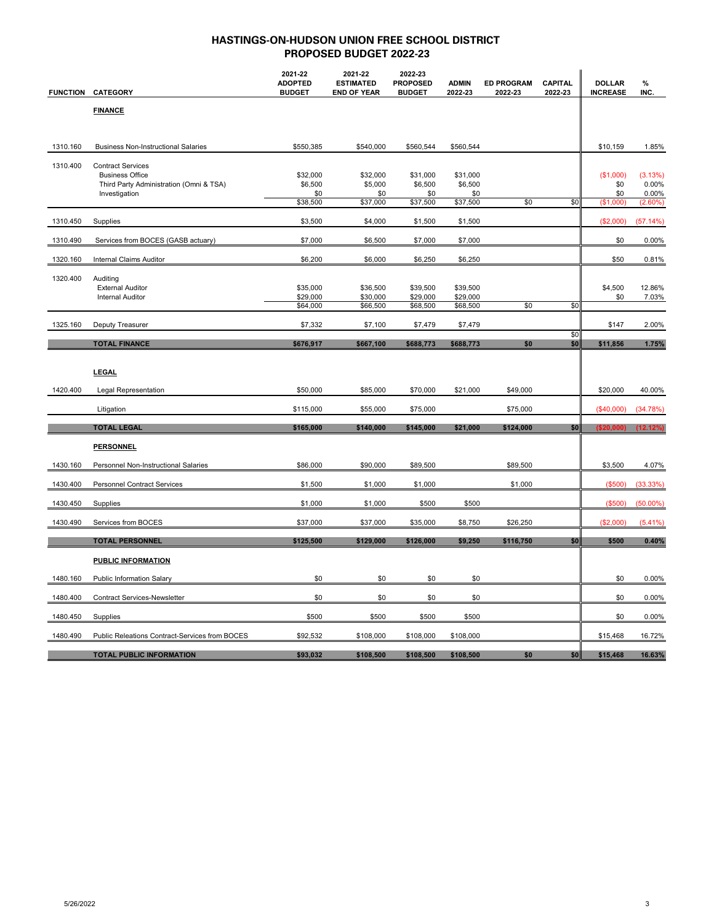| <b>FUNCTION</b> | <b>CATEGORY</b>                                                   | 2021-22<br><b>ADOPTED</b><br><b>BUDGET</b> | 2021-22<br><b>ESTIMATED</b><br><b>END OF YEAR</b> | 2022-23<br><b>PROPOSED</b><br><b>BUDGET</b> | <b>ADMIN</b><br>2022-23 | <b>ED PROGRAM</b><br>2022-23 | <b>CAPITAL</b><br>2022-23 | <b>DOLLAR</b><br><b>INCREASE</b> | %<br>INC.           |
|-----------------|-------------------------------------------------------------------|--------------------------------------------|---------------------------------------------------|---------------------------------------------|-------------------------|------------------------------|---------------------------|----------------------------------|---------------------|
|                 | <b>FINANCE</b>                                                    |                                            |                                                   |                                             |                         |                              |                           |                                  |                     |
|                 |                                                                   |                                            |                                                   |                                             |                         |                              |                           |                                  |                     |
| 1310.160        | <b>Business Non-Instructional Salaries</b>                        | \$550,385                                  | \$540,000                                         | \$560,544                                   | \$560,544               |                              |                           | \$10,159                         | 1.85%               |
| 1310.400        | <b>Contract Services</b>                                          |                                            |                                                   |                                             |                         |                              |                           |                                  |                     |
|                 | <b>Business Office</b><br>Third Party Administration (Omni & TSA) | \$32,000<br>\$6,500                        | \$32,000<br>\$5,000                               | \$31,000<br>\$6,500                         | \$31,000<br>\$6,500     |                              |                           | (\$1,000)<br>\$0                 | (3.13%)<br>0.00%    |
|                 | Investigation                                                     | \$0<br>\$38,500                            | \$0<br>\$37,000                                   | \$0<br>\$37,500                             | \$0<br>\$37,500         | \$0                          | \$0                       | \$0<br>(\$1,000)                 | 0.00%<br>$(2.60\%)$ |
| 1310.450        | Supplies                                                          | \$3,500                                    | \$4,000                                           | \$1,500                                     | \$1,500                 |                              |                           | (\$2,000)                        | (57.14%)            |
|                 |                                                                   |                                            |                                                   |                                             |                         |                              |                           |                                  |                     |
| 1310.490        | Services from BOCES (GASB actuary)                                | \$7,000                                    | \$6,500                                           | \$7,000                                     | \$7,000                 |                              |                           | \$0                              | 0.00%               |
| 1320.160        | Internal Claims Auditor                                           | \$6,200                                    | \$6,000                                           | \$6,250                                     | \$6,250                 |                              |                           | \$50                             | 0.81%               |
| 1320.400        | Auditing<br><b>External Auditor</b>                               | \$35,000                                   | \$36,500                                          | \$39,500                                    | \$39,500                |                              |                           | \$4,500                          | 12.86%              |
|                 | <b>Internal Auditor</b>                                           | \$29,000                                   | \$30,000                                          | \$29,000                                    | \$29,000                |                              |                           | \$0                              | 7.03%               |
|                 |                                                                   | \$64,000                                   | \$66,500                                          | \$68,500                                    | \$68,500                | \$0                          | \$0                       |                                  |                     |
| 1325.160        | Deputy Treasurer                                                  | \$7,332                                    | \$7,100                                           | \$7,479                                     | \$7,479                 |                              | \$0                       | \$147                            | 2.00%               |
|                 | <b>TOTAL FINANCE</b>                                              | \$676,917                                  | \$667,100                                         | \$688,773                                   | \$688,773               | \$0                          | \$0                       | \$11,856                         | 1.75%               |
|                 |                                                                   |                                            |                                                   |                                             |                         |                              |                           |                                  |                     |
|                 | <b>LEGAL</b>                                                      |                                            |                                                   |                                             |                         |                              |                           |                                  |                     |
| 1420.400        | Legal Representation                                              | \$50,000                                   | \$85,000                                          | \$70,000                                    | \$21,000                | \$49,000                     |                           | \$20,000                         | 40.00%              |
|                 | Litigation                                                        | \$115,000                                  | \$55,000                                          | \$75,000                                    |                         | \$75,000                     |                           | (\$40,000)                       | (34.78%)            |
|                 | <b>TOTAL LEGAL</b>                                                | \$165,000                                  | \$140,000                                         | \$145,000                                   | \$21,000                | \$124,000                    | \$0                       | ( \$20,000)                      | (12.12%)            |
|                 | <b>PERSONNEL</b>                                                  |                                            |                                                   |                                             |                         |                              |                           |                                  |                     |
| 1430.160        | Personnel Non-Instructional Salaries                              | \$86,000                                   | \$90,000                                          | \$89,500                                    |                         | \$89,500                     |                           | \$3,500                          | 4.07%               |
| 1430.400        | <b>Personnel Contract Services</b>                                | \$1,500                                    | \$1,000                                           | \$1,000                                     |                         | \$1,000                      |                           | (\$500)                          | (33.33%)            |
| 1430.450        | Supplies                                                          | \$1,000                                    | \$1,000                                           | \$500                                       | \$500                   |                              |                           | (\$500)                          | $(50.00\%)$         |
| 1430.490        | Services from BOCES                                               | \$37,000                                   | \$37,000                                          | \$35,000                                    | \$8,750                 | \$26,250                     |                           | (\$2,000)                        | (5.41%)             |
|                 | <b>TOTAL PERSONNEL</b>                                            | \$125,500                                  | \$129,000                                         | \$126,000                                   | \$9,250                 | \$116,750                    | \$0                       | \$500                            | 0.40%               |
|                 | <b>PUBLIC INFORMATION</b>                                         |                                            |                                                   |                                             |                         |                              |                           |                                  |                     |
| 1480.160        | <b>Public Information Salary</b>                                  | \$0                                        | \$0                                               | \$0                                         | \$0                     |                              |                           | \$0                              | 0.00%               |
| 1480.400        | Contract Services-Newsletter                                      | \$0                                        | \$0                                               | \$0                                         | \$0                     |                              |                           | \$0                              | 0.00%               |
| 1480.450        | Supplies                                                          | \$500                                      | \$500                                             | \$500                                       | \$500                   |                              |                           | \$0                              | 0.00%               |
| 1480.490        | Public Releations Contract-Services from BOCES                    | \$92,532                                   | \$108,000                                         | \$108,000                                   | \$108,000               |                              |                           | \$15,468                         | 16.72%              |
|                 | <b>TOTAL PUBLIC INFORMATION</b>                                   | \$93,032                                   | \$108,500                                         | \$108,500                                   | \$108,500               | \$0                          | \$0                       | \$15,468                         | 16.63%              |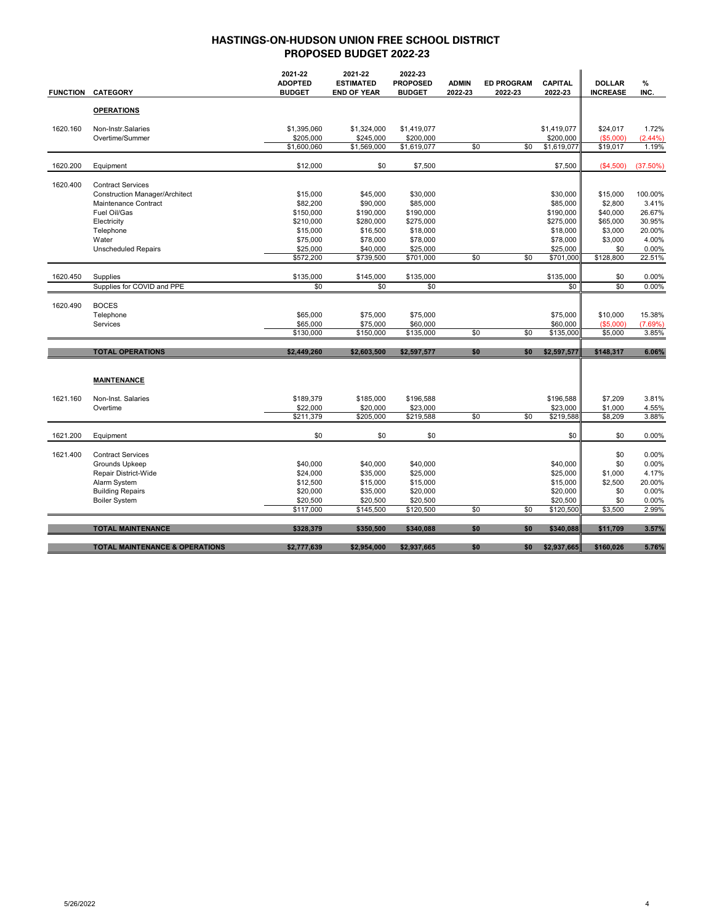| <b>FUNCTION</b> | <b>CATEGORY</b>                           | 2021-22<br><b>ADOPTED</b><br><b>BUDGET</b> | 2021-22<br><b>ESTIMATED</b><br><b>END OF YEAR</b> | 2022-23<br><b>PROPOSED</b><br><b>BUDGET</b> | <b>ADMIN</b><br>2022-23 | <b>ED PROGRAM</b><br>2022-23 | <b>CAPITAL</b><br>2022-23 | <b>DOLLAR</b><br><b>INCREASE</b> | %<br>INC.        |
|-----------------|-------------------------------------------|--------------------------------------------|---------------------------------------------------|---------------------------------------------|-------------------------|------------------------------|---------------------------|----------------------------------|------------------|
|                 | <b>OPERATIONS</b>                         |                                            |                                                   |                                             |                         |                              |                           |                                  |                  |
| 1620.160        | Non-Instr.Salaries<br>Overtime/Summer     | \$1,395,060<br>\$205,000                   | \$1,324,000<br>\$245,000                          | \$1,419,077<br>\$200,000                    |                         |                              | \$1,419,077<br>\$200,000  | \$24,017<br>( \$5,000)           | 1.72%<br>(2.44%) |
|                 |                                           | \$1,600,060                                | \$1,569,000                                       | \$1,619,077                                 | \$0                     | \$0                          | \$1,619,077               | \$19,017                         | 1.19%            |
| 1620.200        | Equipment                                 | \$12,000                                   | \$0                                               | \$7,500                                     |                         |                              | \$7,500                   | (\$4,500)                        | (37.50%)         |
| 1620.400        | <b>Contract Services</b>                  |                                            |                                                   |                                             |                         |                              |                           |                                  |                  |
|                 | <b>Construction Manager/Architect</b>     | \$15,000                                   | \$45,000                                          | \$30,000                                    |                         |                              | \$30,000                  | \$15,000                         | 100.00%          |
|                 | Maintenance Contract                      | \$82,200                                   | \$90,000                                          | \$85,000                                    |                         |                              | \$85,000                  | \$2,800                          | 3.41%            |
|                 | Fuel Oil/Gas                              | \$150,000                                  | \$190,000                                         | \$190,000                                   |                         |                              | \$190,000                 | \$40,000                         | 26.67%           |
|                 | Electricity                               | \$210,000                                  | \$280,000                                         | \$275,000                                   |                         |                              | \$275,000                 | \$65,000                         | 30.95%           |
|                 | Telephone                                 | \$15,000                                   | \$16,500                                          | \$18,000                                    |                         |                              | \$18,000                  | \$3,000                          | 20.00%           |
|                 | Water                                     | \$75,000                                   | \$78,000                                          | \$78,000                                    |                         |                              | \$78,000                  | \$3,000                          | 4.00%            |
|                 | <b>Unscheduled Repairs</b>                | \$25,000                                   | \$40,000                                          | \$25,000                                    |                         |                              | \$25,000                  | \$0                              | 0.00%            |
|                 |                                           | \$572,200                                  | \$739,500                                         | \$701,000                                   | \$0                     | \$0                          | \$701,000                 | \$128,800                        | 22.51%           |
| 1620.450        | Supplies                                  | \$135,000                                  | \$145,000                                         | \$135,000                                   |                         |                              | \$135,000                 | \$0                              | 0.00%            |
|                 | Supplies for COVID and PPE                | \$0                                        | \$0                                               | \$0                                         |                         |                              | \$0                       | \$0                              | 0.00%            |
| 1620.490        | <b>BOCES</b>                              |                                            |                                                   |                                             |                         |                              |                           |                                  |                  |
|                 | Telephone                                 | \$65,000                                   | \$75,000                                          | \$75,000                                    |                         |                              | \$75,000                  | \$10,000                         | 15.38%           |
|                 | Services                                  | \$65,000                                   | \$75,000                                          | \$60,000                                    |                         |                              | \$60,000                  | ( \$5,000)                       | (7.69%)          |
|                 |                                           | \$130,000                                  | \$150,000                                         | \$135,000                                   | \$0                     | \$0                          | \$135,000                 | \$5,000                          | 3.85%            |
|                 | <b>TOTAL OPERATIONS</b>                   |                                            |                                                   |                                             |                         | \$0                          |                           |                                  |                  |
|                 |                                           | \$2,449,260                                | \$2,603,500                                       | \$2,597,577                                 | \$0                     |                              | \$2,597,577               | \$148,317                        | 6.06%            |
|                 | <b>MAINTENANCE</b>                        |                                            |                                                   |                                             |                         |                              |                           |                                  |                  |
|                 |                                           |                                            |                                                   |                                             |                         |                              |                           |                                  |                  |
| 1621.160        | Non-Inst. Salaries                        | \$189.379                                  | \$185,000                                         | \$196.588                                   |                         |                              | \$196,588                 | \$7.209                          | 3.81%            |
|                 | Overtime                                  | \$22,000                                   | \$20,000                                          | \$23,000                                    |                         |                              | \$23,000                  | \$1,000                          | 4.55%            |
|                 |                                           | \$211,379                                  | \$205,000                                         | \$219,588                                   | \$0                     | \$0                          | \$219,588                 | \$8,209                          | 3.88%            |
| 1621.200        | Equipment                                 | \$0                                        | \$0                                               | \$0                                         |                         |                              | \$0                       | \$0                              | 0.00%            |
| 1621.400        | <b>Contract Services</b>                  |                                            |                                                   |                                             |                         |                              |                           | \$0                              | 0.00%            |
|                 | Grounds Upkeep                            | \$40,000                                   | \$40,000                                          | \$40,000                                    |                         |                              | \$40,000                  | \$0                              | 0.00%            |
|                 | Repair District-Wide                      | \$24,000                                   | \$35,000                                          | \$25,000                                    |                         |                              | \$25,000                  | \$1,000                          | 4.17%            |
|                 | Alarm System                              | \$12,500                                   | \$15,000                                          | \$15,000                                    |                         |                              | \$15,000                  | \$2,500                          | 20.00%           |
|                 | <b>Building Repairs</b>                   | \$20,000                                   | \$35,000                                          | \$20,000                                    |                         |                              | \$20,000                  | \$0                              | 0.00%            |
|                 | <b>Boiler System</b>                      | \$20,500                                   | \$20,500                                          | \$20,500                                    |                         |                              | \$20,500                  | \$0                              | 0.00%            |
|                 |                                           | \$117,000                                  | \$145,500                                         | \$120,500                                   | \$0                     | \$0                          | \$120,500                 | \$3,500                          | 2.99%            |
|                 | <b>TOTAL MAINTENANCE</b>                  | \$328,379                                  | \$350,500                                         | \$340,088                                   | \$0                     | \$0                          | \$340,088                 | \$11,709                         | 3.57%            |
|                 |                                           |                                            |                                                   |                                             |                         |                              |                           |                                  |                  |
|                 | <b>TOTAL MAINTENANCE &amp; OPERATIONS</b> | \$2,777,639                                | \$2,954,000                                       | \$2,937,665                                 | \$0                     | \$0                          | \$2,937,665               | \$160,026                        | 5.76%            |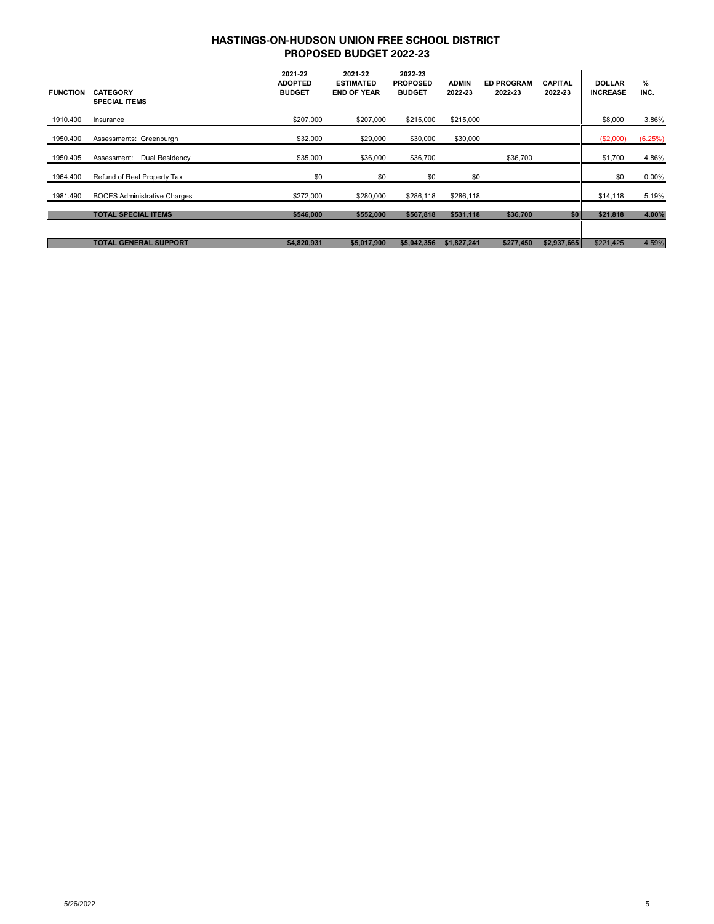|                 |                                     | 2021-22<br><b>ADOPTED</b> | 2021-22<br><b>ESTIMATED</b> | 2022-23<br><b>PROPOSED</b> | <b>ADMIN</b> | <b>ED PROGRAM</b> | <b>CAPITAL</b> | <b>DOLLAR</b>   | %       |
|-----------------|-------------------------------------|---------------------------|-----------------------------|----------------------------|--------------|-------------------|----------------|-----------------|---------|
| <b>FUNCTION</b> | <b>CATEGORY</b>                     | <b>BUDGET</b>             | <b>END OF YEAR</b>          | <b>BUDGET</b>              | 2022 23      | 2022-23           | 2022-23        | <b>INCREASE</b> | INC.    |
|                 | <b>SPECIAL ITEMS</b>                |                           |                             |                            |              |                   |                |                 |         |
| 1910.400        | Insurance                           | \$207,000                 | \$207,000                   | \$215,000                  | \$215,000    |                   |                | \$8,000         | 3.86%   |
| 1950.400        | Assessments: Greenburgh             | \$32,000                  | \$29,000                    | \$30,000                   | \$30,000     |                   |                | (\$2,000)       | (6.25%) |
| 1950.405        | Dual Residency<br>Assessment:       | \$35,000                  | \$36,000                    | \$36,700                   |              | \$36,700          |                | \$1,700         | 4.86%   |
| 1964.400        | Refund of Real Property Tax         | \$0                       | \$0                         | \$0                        | \$0          |                   |                | \$0             | 0.00%   |
| 1981.490        | <b>BOCES Administrative Charges</b> | \$272,000                 | \$280,000                   | \$286,118                  | \$286,118    |                   |                | \$14,118        | 5.19%   |
|                 | <b>TOTAL SPECIAL ITEMS</b>          | \$546,000                 | \$552,000                   | \$567,818                  | \$531,118    | \$36,700          | \$0            | \$21,818        | 4.00%   |
|                 |                                     |                           |                             |                            |              |                   |                |                 |         |
|                 | <b>TOTAL GENERAL SUPPORT</b>        | \$4,820,931               | \$5.017.900                 | \$5,042,356                | \$1,827,241  | \$277,450         | \$2,937,665    | \$221,425       | 4.59%   |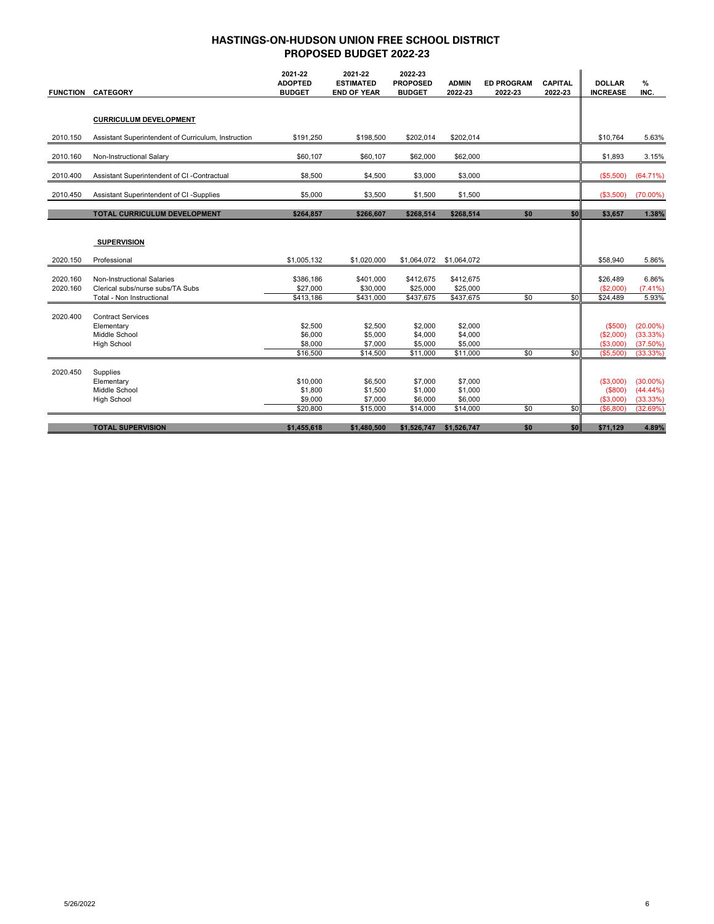| <b>FUNCTION</b> | <b>CATEGORY</b>                                     | 2021-22<br><b>ADOPTED</b><br><b>BUDGET</b> | 2021-22<br><b>ESTIMATED</b><br><b>END OF YEAR</b> | 2022-23<br><b>PROPOSED</b><br><b>BUDGET</b> | <b>ADMIN</b><br>2022-23 | <b>ED PROGRAM</b><br>2022-23 | <b>CAPITAL</b><br>2022-23 | <b>DOLLAR</b><br><b>INCREASE</b> | $\%$<br>INC. |
|-----------------|-----------------------------------------------------|--------------------------------------------|---------------------------------------------------|---------------------------------------------|-------------------------|------------------------------|---------------------------|----------------------------------|--------------|
|                 |                                                     |                                            |                                                   |                                             |                         |                              |                           |                                  |              |
|                 |                                                     |                                            |                                                   |                                             |                         |                              |                           |                                  |              |
|                 | <b>CURRICULUM DEVELOPMENT</b>                       |                                            |                                                   |                                             |                         |                              |                           |                                  |              |
| 2010.150        | Assistant Superintendent of Curriculum, Instruction | \$191,250                                  | \$198,500                                         | \$202,014                                   | \$202,014               |                              |                           | \$10,764                         | 5.63%        |
| 2010.160        | Non-Instructional Salary                            | \$60,107                                   | \$60,107                                          | \$62,000                                    | \$62,000                |                              |                           | \$1,893                          | 3.15%        |
| 2010.400        | Assistant Superintendent of CI -Contractual         | \$8,500                                    | \$4,500                                           | \$3,000                                     | \$3,000                 |                              |                           | (\$5,500)                        | (64.71%)     |
| 2010.450        | Assistant Superintendent of CI -Supplies            | \$5,000                                    | \$3,500                                           | \$1,500                                     | \$1,500                 |                              |                           | (\$3,500)                        | $(70.00\%)$  |
|                 | <b>TOTAL CURRICULUM DEVELOPMENT</b>                 | \$264,857                                  | \$266,607                                         | \$268,514                                   | \$268,514               | \$0                          | \$0                       | \$3,657                          | 1.38%        |
|                 |                                                     |                                            |                                                   |                                             |                         |                              |                           |                                  |              |
|                 | <b>SUPERVISION</b>                                  |                                            |                                                   |                                             |                         |                              |                           |                                  |              |
| 2020.150        | Professional                                        | \$1,005,132                                | \$1,020,000                                       | \$1,064,072                                 | \$1,064,072             |                              |                           | \$58,940                         | 5.86%        |
| 2020.160        | Non-Instructional Salaries                          | \$386,186                                  | \$401,000                                         | \$412,675                                   | \$412,675               |                              |                           | \$26,489                         | 6.86%        |
| 2020.160        | Clerical subs/nurse subs/TA Subs                    | \$27,000                                   | \$30,000                                          | \$25,000                                    | \$25,000                |                              |                           | (\$2,000)                        | (7.41%)      |
|                 | Total - Non Instructional                           | \$413,186                                  | \$431,000                                         | \$437,675                                   | \$437,675               | \$0                          | \$0                       | \$24,489                         | 5.93%        |
| 2020.400        | <b>Contract Services</b>                            |                                            |                                                   |                                             |                         |                              |                           |                                  |              |
|                 | Elementary                                          | \$2,500                                    | \$2,500                                           | \$2,000                                     | \$2,000                 |                              |                           | (\$500)                          | $(20.00\%)$  |
|                 | Middle School                                       | \$6,000                                    | \$5,000                                           | \$4,000                                     | \$4,000                 |                              |                           | (\$2,000)                        | (33.33%)     |
|                 | <b>High School</b>                                  | \$8,000                                    | \$7,000                                           | \$5,000                                     | \$5,000                 |                              |                           | (\$3,000)                        | (37.50%)     |
|                 |                                                     | \$16,500                                   | \$14,500                                          | \$11,000                                    | \$11,000                | \$0                          | \$0                       | (\$5,500)                        | (33.33%)     |
| 2020.450        | Supplies                                            |                                            |                                                   |                                             |                         |                              |                           |                                  |              |
|                 | Elementary                                          | \$10,000                                   | \$6,500                                           | \$7,000                                     | \$7,000                 |                              |                           | (\$3,000)                        | $(30.00\%)$  |
|                 | Middle School                                       | \$1,800                                    | \$1,500                                           | \$1,000                                     | \$1,000                 |                              |                           | (\$800)                          | $(44.44\%)$  |
|                 | <b>High School</b>                                  | \$9,000                                    | \$7,000                                           | \$6,000                                     | \$6,000                 |                              |                           | (\$3,000)                        | (33.33%)     |
|                 |                                                     | \$20,800                                   | \$15,000                                          | \$14,000                                    | \$14,000                | \$0                          | \$0                       | (S6, 800)                        | (32.69%)     |
|                 | <b>TOTAL SUPERVISION</b>                            | \$1,455,618                                | \$1,480,500                                       | \$1,526,747                                 | \$1,526,747             | \$0                          | \$0                       | \$71,129                         | 4.89%        |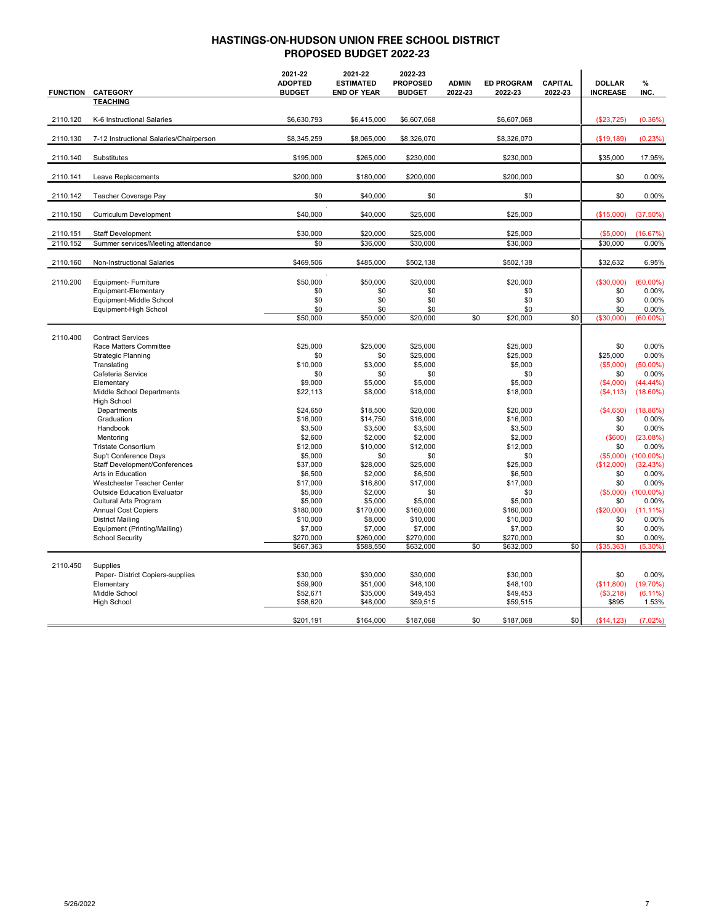| <b>FUNCTION</b> | <b>CATEGORY</b>                                     | 2021-22<br><b>ADOPTED</b><br><b>BUDGET</b> | 2021-22<br><b>ESTIMATED</b><br><b>END OF YEAR</b> | 2022-23<br><b>PROPOSED</b><br><b>BUDGET</b> | <b>ADMIN</b><br><b>ED PROGRAM</b><br>2022-23<br>2022-23 | <b>CAPITAL</b><br>2022-23 | <b>DOLLAR</b><br><b>INCREASE</b> | %<br>INC.             |
|-----------------|-----------------------------------------------------|--------------------------------------------|---------------------------------------------------|---------------------------------------------|---------------------------------------------------------|---------------------------|----------------------------------|-----------------------|
|                 | <b>TEACHING</b>                                     |                                            |                                                   |                                             |                                                         |                           |                                  |                       |
| 2110.120        | K-6 Instructional Salaries                          | \$6,630,793                                | \$6,415,000                                       | \$6,607,068                                 | \$6,607,068                                             |                           | (\$23,725)                       | (0.36%)               |
|                 |                                                     |                                            |                                                   |                                             |                                                         |                           |                                  |                       |
| 2110.130        | 7-12 Instructional Salaries/Chairperson             | \$8,345,259                                | \$8,065,000                                       | \$8,326,070                                 | \$8,326,070                                             |                           | (\$19, 189)                      | (0.23%)               |
| 2110.140        | Substitutes                                         | \$195,000                                  | \$265,000                                         | \$230,000                                   | \$230,000                                               |                           | \$35,000                         | 17.95%                |
| 2110.141        | Leave Replacements                                  | \$200,000                                  | \$180,000                                         | \$200,000                                   | \$200,000                                               |                           | \$0                              | 0.00%                 |
| 2110.142        | Teacher Coverage Pay                                | \$0                                        | \$40,000                                          | \$0                                         | \$0                                                     |                           | \$0                              | 0.00%                 |
| 2110.150        | Curriculum Development                              | \$40,000                                   | \$40,000                                          | \$25,000                                    | \$25,000                                                |                           | (\$15,000)                       | (37.50%)              |
| 2110.151        | Staff Development                                   | \$30,000                                   | \$20,000                                          | \$25,000                                    | \$25,000                                                |                           | (\$5,000)                        | (16.67%)              |
| 2110.152        | Summer services/Meeting attendance                  | \$0                                        | \$36,000                                          | \$30,000                                    | \$30,000                                                |                           | \$30,000                         | 0.00%                 |
|                 |                                                     |                                            |                                                   |                                             |                                                         |                           |                                  |                       |
| 2110.160        | Non-Instructional Salaries                          | \$469,506                                  | \$485,000                                         | \$502,138                                   | \$502,138                                               |                           | \$32,632                         | 6.95%                 |
| 2110.200        | Equipment- Furniture                                | \$50,000                                   | \$50,000                                          | \$20,000                                    | \$20,000                                                |                           | ( \$30,000)                      | $(60.00\%)$           |
|                 | Equipment-Elementary                                | \$0                                        | \$0                                               | \$0                                         | \$0                                                     |                           | \$0                              | 0.00%                 |
|                 | Equipment-Middle School                             | \$0                                        | \$0                                               | \$0                                         | \$0                                                     |                           | \$0                              | 0.00%                 |
|                 | Equipment-High School                               | \$0                                        | \$0                                               | \$0                                         | \$0                                                     |                           | \$0                              | 0.00%                 |
|                 |                                                     | \$50,000                                   | \$50,000                                          | \$20,000                                    | \$0<br>\$20,000                                         | \$0                       | (\$30,000)                       | $(60.00\%)$           |
| 2110.400        | <b>Contract Services</b>                            |                                            |                                                   |                                             |                                                         |                           |                                  |                       |
|                 | Race Matters Committee                              | \$25,000                                   | \$25,000                                          | \$25,000                                    | \$25,000                                                |                           | \$0                              | 0.00%                 |
|                 | <b>Strategic Planning</b>                           | \$0                                        | \$0                                               | \$25,000                                    | \$25,000                                                |                           | \$25,000                         | 0.00%                 |
|                 | Translating                                         | \$10,000                                   | \$3,000                                           | \$5,000                                     | \$5,000                                                 |                           | (\$5,000)                        | $(50.00\%)$           |
|                 | Cafeteria Service                                   | \$0                                        | \$0                                               | \$0                                         | \$0                                                     |                           | \$0                              | 0.00%                 |
|                 | Elementary                                          | \$9,000                                    | \$5,000                                           | \$5,000                                     | \$5,000                                                 |                           | (S4.000)                         | $(44.44\%)$           |
|                 | Middle School Departments                           | \$22,113                                   | \$8,000                                           | \$18,000                                    | \$18,000                                                |                           | (\$4, 113)                       | $(18.60\%)$           |
|                 | <b>High School</b>                                  |                                            |                                                   |                                             |                                                         |                           |                                  |                       |
|                 | Departments                                         | \$24,650                                   | \$18,500                                          | \$20,000                                    | \$20,000                                                |                           | (\$4,650)                        | (18.86%)              |
|                 | Graduation                                          | \$16,000                                   | \$14,750                                          | \$16,000                                    | \$16,000                                                |                           | \$0                              | 0.00%                 |
|                 | Handbook                                            | \$3,500                                    | \$3,500                                           | \$3,500                                     | \$3,500                                                 |                           | \$0                              | 0.00%                 |
|                 | Mentorina                                           | \$2,600                                    | \$2.000                                           | \$2.000                                     | \$2,000                                                 |                           | $($ \$600)                       | (23.08%)              |
|                 | <b>Tristate Consortium</b>                          | \$12,000                                   | \$10,000                                          | \$12,000                                    | \$12,000                                                |                           | \$0                              | 0.00%                 |
|                 | Sup't Conference Days                               | \$5,000                                    | \$0                                               | \$0                                         | \$0                                                     |                           | (\$5,000)                        | $(100.00\%)$          |
|                 | Staff Development/Conferences                       | \$37,000                                   | \$28,000                                          | \$25,000                                    | \$25,000                                                |                           | (\$12,000)                       | (32.43%)              |
|                 | Arts in Education                                   | \$6,500                                    | \$2,000                                           | \$6,500                                     | \$6,500                                                 |                           | \$0                              | 0.00%                 |
|                 | Westchester Teacher Center                          | \$17,000                                   | \$16,800                                          | \$17,000                                    | \$17,000                                                |                           | \$0                              | 0.00%                 |
|                 | <b>Outside Education Evaluator</b>                  | \$5,000                                    | \$2,000<br>\$5,000                                | \$0                                         | \$0                                                     |                           | (S5,000)                         | $(100.00\%)$<br>0.00% |
|                 | Cultural Arts Program<br><b>Annual Cost Copiers</b> | \$5,000<br>\$180,000                       | \$170,000                                         | \$5,000<br>\$160,000                        | \$5,000<br>\$160,000                                    |                           | \$0<br>(\$20,000)                | $(11.11\%)$           |
|                 | <b>District Mailing</b>                             | \$10,000                                   | \$8,000                                           | \$10,000                                    | \$10,000                                                |                           | \$0                              | 0.00%                 |
|                 | Equipment (Printing/Mailing)                        | \$7,000                                    | \$7,000                                           | \$7,000                                     | \$7,000                                                 |                           | \$0                              | 0.00%                 |
|                 | <b>School Security</b>                              | \$270,000                                  | \$260,000                                         | \$270,000                                   | \$270,000                                               |                           | \$0                              | 0.00%                 |
|                 |                                                     | \$667,363                                  | \$588,550                                         | \$632,000                                   | \$0<br>\$632,000                                        | \$0                       | (\$35,363)                       | $(5.30\%)$            |
|                 |                                                     |                                            |                                                   |                                             |                                                         |                           |                                  |                       |
| 2110.450        | Supplies                                            |                                            |                                                   |                                             |                                                         |                           |                                  |                       |
|                 | Paper- District Copiers-supplies                    | \$30,000                                   | \$30,000                                          | \$30,000                                    | \$30,000                                                |                           | \$0                              | 0.00%                 |
|                 | Elementary                                          | \$59,900                                   | \$51.000                                          | \$48.100                                    | \$48,100                                                |                           | (\$11,800)                       | (19.70%)              |
|                 | Middle School                                       | \$52,671                                   | \$35,000                                          | \$49,453                                    | \$49,453                                                |                           | (\$3,218)                        | $(6.11\%)$            |
|                 | <b>High School</b>                                  | \$58,620                                   | \$48,000                                          | \$59,515                                    | \$59,515                                                |                           | \$895                            | 1.53%                 |
|                 |                                                     | \$201,191                                  | \$164,000                                         | \$187,068                                   | \$0<br>\$187,068                                        | \$0                       | (\$14, 123)                      | (7.02%)               |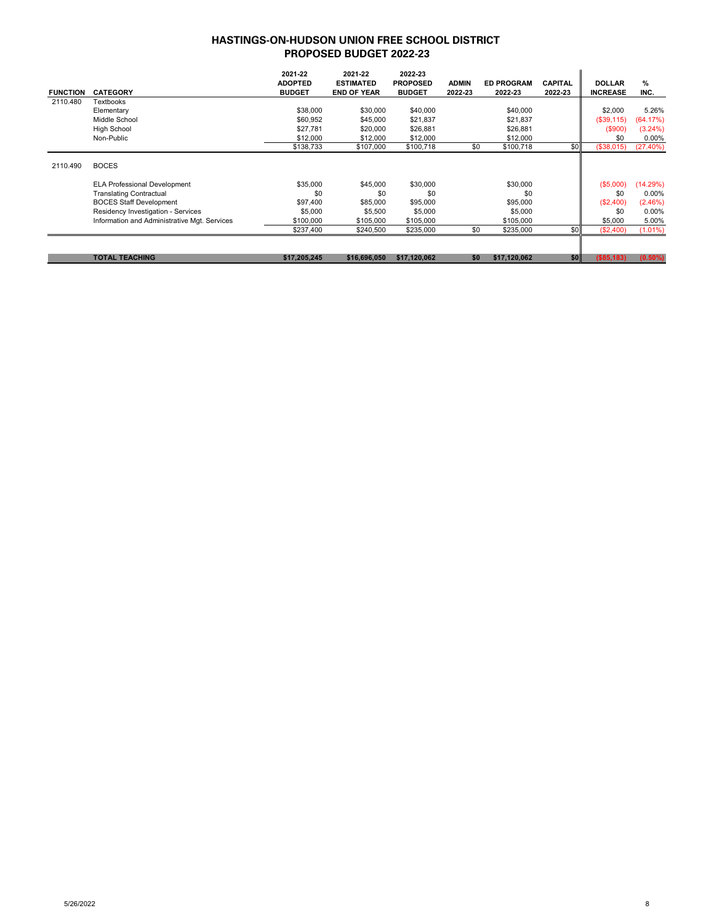| <b>FUNCTION</b> | <b>CATEGORY</b>                              | 2021-22<br><b>ADOPTED</b><br><b>BUDGET</b> | 2021-22<br><b>ESTIMATED</b><br><b>END OF YEAR</b> | 2022-23<br><b>PROPOSED</b><br><b>BUDGET</b> | <b>ADMIN</b><br>2022-23 | <b>ED PROGRAM</b><br>2022-23 | <b>CAPITAL</b><br>2022-23 | <b>DOLLAR</b><br><b>INCREASE</b> | %<br>INC.  |
|-----------------|----------------------------------------------|--------------------------------------------|---------------------------------------------------|---------------------------------------------|-------------------------|------------------------------|---------------------------|----------------------------------|------------|
| 2110.480        | Textbooks                                    |                                            |                                                   |                                             |                         |                              |                           |                                  |            |
|                 | Elementary                                   | \$38,000                                   | \$30,000                                          | \$40,000                                    |                         | \$40,000                     |                           | \$2,000                          | 5.26%      |
|                 | Middle School                                | \$60,952                                   | \$45,000                                          | \$21,837                                    |                         | \$21,837                     |                           | $($ \$39,115)                    | (64.17%)   |
|                 | <b>High School</b>                           | \$27,781                                   | \$20,000                                          | \$26,881                                    |                         | \$26,881                     |                           | (\$900)                          | $(3.24\%)$ |
|                 | Non-Public                                   | \$12,000                                   | \$12,000                                          | \$12,000                                    |                         | \$12,000                     |                           | \$0                              | $0.00\%$   |
|                 |                                              | \$138,733                                  | \$107,000                                         | \$100,718                                   | \$0                     | \$100,718                    | \$0                       | (\$38,015)                       | (27.40%)   |
| 2110.490        | <b>BOCES</b>                                 |                                            |                                                   |                                             |                         |                              |                           |                                  |            |
|                 | <b>ELA Professional Development</b>          | \$35,000                                   | \$45,000                                          | \$30,000                                    |                         | \$30,000                     |                           | $($ \$5,000)                     | (14.29%)   |
|                 | <b>Translating Contractual</b>               | \$0                                        | \$0                                               | \$0                                         |                         | \$0                          |                           | \$0                              | $0.00\%$   |
|                 | <b>BOCES Staff Development</b>               | \$97,400                                   | \$85,000                                          | \$95,000                                    |                         | \$95,000                     |                           | (S2,400)                         | (2.46%)    |
|                 | Residency Investigation - Services           | \$5,000                                    | \$5,500                                           | \$5,000                                     |                         | \$5,000                      |                           | \$0                              | 0.00%      |
|                 | Information and Administrative Mgt. Services | \$100,000                                  | \$105,000                                         | \$105,000                                   |                         | \$105,000                    |                           | \$5,000                          | 5.00%      |
|                 |                                              | \$237,400                                  | \$240,500                                         | \$235,000                                   | \$0                     | \$235,000                    | \$0                       | (\$2,400)                        | $(1.01\%)$ |
|                 |                                              |                                            |                                                   |                                             |                         |                              |                           |                                  |            |
|                 | <b>TOTAL TEACHING</b>                        | \$17,205,245                               | \$16,696,050                                      | \$17,120,062                                | \$0                     | \$17,120,062                 | \$0                       | ( \$85, 183)                     | $(0.50\%)$ |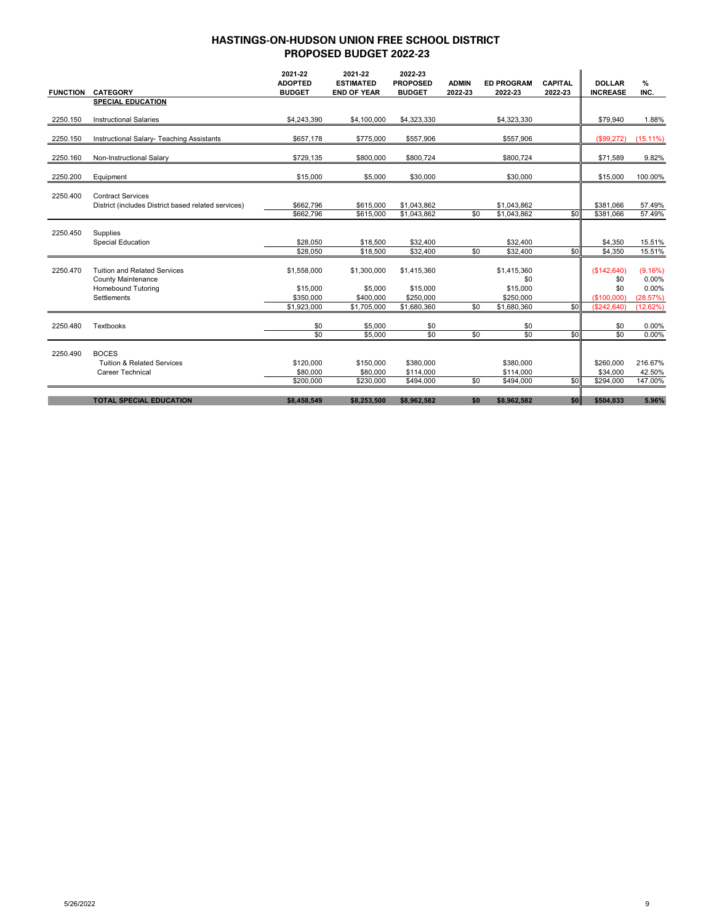|                 |                                                                  | 2021-22<br><b>ADOPTED</b> | 2021-22<br><b>ESTIMATED</b> | 2022-23<br><b>PROPOSED</b> | <b>ADMIN</b> | <b>ED PROGRAM</b>  | <b>CAPITAL</b> | <b>DOLLAR</b>       | %                |
|-----------------|------------------------------------------------------------------|---------------------------|-----------------------------|----------------------------|--------------|--------------------|----------------|---------------------|------------------|
| <b>FUNCTION</b> | <b>CATEGORY</b>                                                  | <b>BUDGET</b>             | <b>END OF YEAR</b>          | <b>BUDGET</b>              | 2022-23      | 2022-23            | 2022-23        | <b>INCREASE</b>     | INC.             |
|                 | <b>SPECIAL EDUCATION</b>                                         |                           |                             |                            |              |                    |                |                     |                  |
| 2250.150        | <b>Instructional Salaries</b>                                    | \$4,243,390               | \$4,100,000                 | \$4,323,330                |              | \$4,323,330        |                | \$79,940            | 1.88%            |
| 2250.150        | Instructional Salary- Teaching Assistants                        | \$657,178                 | \$775,000                   | \$557,906                  |              | \$557,906          |                | (\$99,272)          | $(15.11\%)$      |
| 2250.160        | Non-Instructional Salary                                         | \$729,135                 | \$800,000                   | \$800,724                  |              | \$800,724          |                | \$71,589            | 9.82%            |
| 2250.200        | Equipment                                                        | \$15,000                  | \$5,000                     | \$30,000                   |              | \$30,000           |                | \$15,000            | 100.00%          |
| 2250.400        | <b>Contract Services</b>                                         |                           |                             |                            |              |                    |                |                     |                  |
|                 | District (includes District based related services)              | \$662.796                 | \$615,000                   | \$1,043,862                |              | \$1,043,862        |                | \$381,066           | 57.49%           |
|                 |                                                                  | \$662,796                 | \$615,000                   | \$1,043,862                | \$0          | \$1,043,862        | \$0            | \$381,066           | 57.49%           |
| 2250.450        | Supplies                                                         |                           |                             |                            |              |                    |                |                     |                  |
|                 | <b>Special Education</b>                                         | \$28,050                  | \$18,500                    | \$32,400                   |              | \$32,400           |                | \$4,350             | 15.51%           |
|                 |                                                                  | \$28,050                  | \$18,500                    | \$32,400                   | \$0          | \$32,400           | \$0            | $\overline{$4,350}$ | 15.51%           |
| 2250.470        | <b>Tuition and Related Services</b><br><b>County Maintenance</b> | \$1,558,000               | \$1,300,000                 | \$1,415,360                |              | \$1,415,360<br>\$0 |                | (\$142,640)<br>\$0  | (9.16%)<br>0.00% |
|                 | <b>Homebound Tutoring</b>                                        | \$15,000                  | \$5,000                     | \$15,000                   |              | \$15,000           |                | \$0                 | 0.00%            |
|                 | Settlements                                                      | \$350,000                 | \$400,000                   | \$250,000                  |              | \$250,000          |                | (\$100,000)         | (28.57%)         |
|                 |                                                                  | \$1,923,000               | \$1,705,000                 | \$1,680,360                | \$0          | \$1,680,360        | \$0            | (\$242,640)         | (12.62%)         |
| 2250.480        | Textbooks                                                        | \$0                       | \$5,000                     | \$0                        |              | \$0                |                | \$0                 | 0.00%            |
|                 |                                                                  | \$0                       | \$5,000                     | \$0                        | \$0          | \$0                | \$0            | \$0                 | 0.00%            |
| 2250.490        | <b>BOCES</b>                                                     |                           |                             |                            |              |                    |                |                     |                  |
|                 | <b>Tuition &amp; Related Services</b>                            | \$120,000                 | \$150,000                   | \$380,000                  |              | \$380,000          |                | \$260,000           | 216.67%          |
|                 | <b>Career Technical</b>                                          | \$80,000                  | \$80,000                    | \$114,000                  |              | \$114,000          |                | \$34,000            | 42.50%           |
|                 |                                                                  | \$200,000                 | \$230,000                   | \$494,000                  | \$0          | \$494,000          | \$0            | \$294,000           | 147.00%          |
|                 | <b>TOTAL SPECIAL EDUCATION</b>                                   | \$8,458,549               | \$8,253,500                 | \$8,962,582                | \$0          | \$8,962,582        | \$0            | \$504,033           | 5.96%            |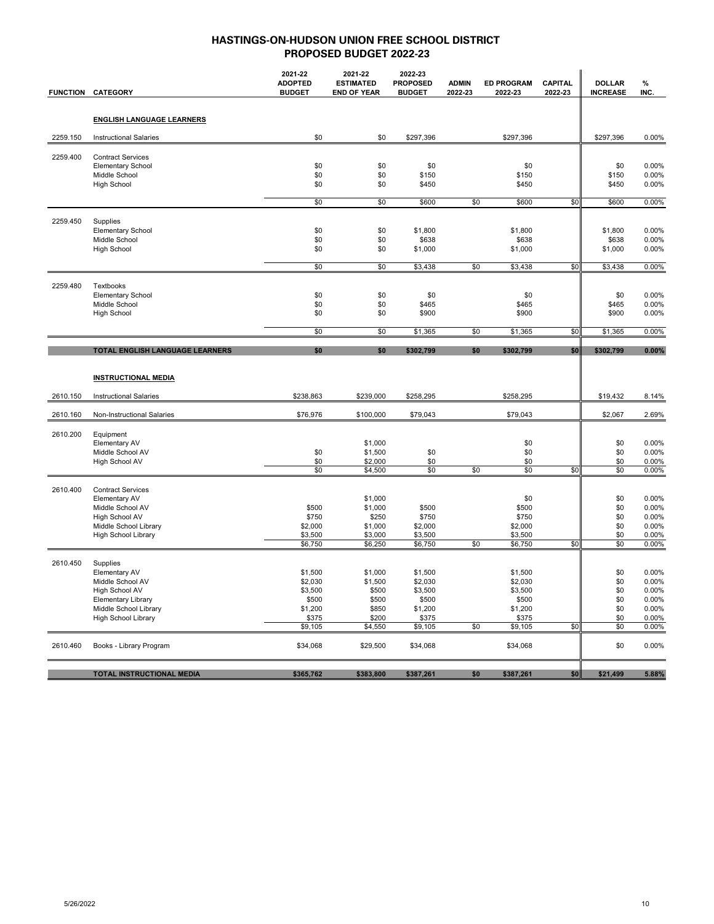|          | <b>FUNCTION CATEGORY</b>                                                                                                                     | 2021-22<br><b>ADOPTED</b><br><b>BUDGET</b>                            | 2021-22<br><b>ESTIMATED</b><br><b>END OF YEAR</b>                 | 2022-23<br><b>PROPOSED</b><br><b>BUDGET</b>                           | <b>ADMIN</b><br>2022-23 | <b>ED PROGRAM</b><br>2022-23                                          | <b>CAPITAL</b><br>2022-23 | <b>DOLLAR</b><br><b>INCREASE</b>              | %<br>INC.                                                   |
|----------|----------------------------------------------------------------------------------------------------------------------------------------------|-----------------------------------------------------------------------|-------------------------------------------------------------------|-----------------------------------------------------------------------|-------------------------|-----------------------------------------------------------------------|---------------------------|-----------------------------------------------|-------------------------------------------------------------|
|          | <b>ENGLISH LANGUAGE LEARNERS</b>                                                                                                             |                                                                       |                                                                   |                                                                       |                         |                                                                       |                           |                                               |                                                             |
| 2259.150 | <b>Instructional Salaries</b>                                                                                                                | \$0                                                                   | \$0                                                               | \$297,396                                                             |                         | \$297,396                                                             |                           | \$297,396                                     | 0.00%                                                       |
| 2259.400 | <b>Contract Services</b><br><b>Elementary School</b><br>Middle School<br><b>High School</b>                                                  | \$0<br>\$0<br>\$0                                                     | \$0<br>\$0<br>\$0                                                 | \$0<br>\$150<br>\$450                                                 |                         | \$0<br>\$150<br>\$450                                                 |                           | \$0<br>\$150<br>\$450                         | 0.00%<br>0.00%<br>0.00%                                     |
|          |                                                                                                                                              | \$0                                                                   | \$0                                                               | \$600                                                                 | \$0                     | \$600                                                                 | \$0                       | \$600                                         | 0.00%                                                       |
| 2259.450 | Supplies<br><b>Elementary School</b><br>Middle School<br><b>High School</b>                                                                  | \$0<br>\$0<br>\$0<br>\$0                                              | \$0<br>\$0<br>\$0<br>\$0                                          | \$1,800<br>\$638<br>\$1,000<br>\$3,438                                | \$0                     | \$1,800<br>\$638<br>\$1,000<br>\$3,438                                | \$0                       | \$1,800<br>\$638<br>\$1,000<br>\$3,438        | 0.00%<br>0.00%<br>0.00%<br>0.00%                            |
|          |                                                                                                                                              |                                                                       |                                                                   |                                                                       |                         |                                                                       |                           |                                               |                                                             |
| 2259.480 | Textbooks<br><b>Elementary School</b><br>Middle School<br><b>High School</b>                                                                 | \$0<br>\$0<br>\$0                                                     | \$0<br>\$0<br>\$0                                                 | \$0<br>\$465<br>\$900                                                 |                         | \$0<br>\$465<br>\$900                                                 |                           | \$0<br>\$465<br>\$900                         | 0.00%<br>0.00%<br>0.00%                                     |
|          |                                                                                                                                              | \$0                                                                   | \$0                                                               | \$1,365                                                               | \$0                     | \$1,365                                                               | \$0                       | \$1,365                                       | 0.00%                                                       |
|          | TOTAL ENGLISH LANGUAGE LEARNERS                                                                                                              | \$0                                                                   | \$0                                                               | \$302,799                                                             | \$0                     | \$302,799                                                             | \$0                       | \$302,799                                     | 0.00%                                                       |
|          | <b>INSTRUCTIONAL MEDIA</b>                                                                                                                   |                                                                       |                                                                   |                                                                       |                         |                                                                       |                           |                                               |                                                             |
| 2610.150 | <b>Instructional Salaries</b>                                                                                                                | \$238,863                                                             | \$239,000                                                         | \$258,295                                                             |                         | \$258,295                                                             |                           | \$19,432                                      | 8.14%                                                       |
| 2610.160 | Non-Instructional Salaries                                                                                                                   | \$76,976                                                              | \$100,000                                                         | \$79,043                                                              |                         | \$79,043                                                              |                           | \$2,067                                       | 2.69%                                                       |
| 2610.200 | Equipment<br>Elementary AV<br>Middle School AV<br>High School AV                                                                             | \$0<br>\$0<br>\$0                                                     | \$1,000<br>\$1,500<br>\$2,000<br>\$4,500                          | \$0<br>\$0<br>\$0                                                     | \$0                     | \$0<br>\$0<br>\$0<br>\$0                                              | \$0                       | \$0<br>\$0<br>\$0<br>\$0                      | 0.00%<br>0.00%<br>0.00%<br>0.00%                            |
| 2610.400 | <b>Contract Services</b><br>Elementary AV<br>Middle School AV<br>High School AV<br>Middle School Library<br>High School Library              | \$500<br>\$750<br>\$2,000<br>\$3,500<br>\$6,750                       | \$1,000<br>\$1,000<br>\$250<br>\$1,000<br>\$3,000<br>\$6,250      | \$500<br>\$750<br>\$2,000<br>\$3,500<br>\$6,750                       | \$0                     | \$0<br>\$500<br>\$750<br>\$2,000<br>\$3,500<br>\$6,750                | \$0                       | \$0<br>\$0<br>\$0<br>\$0<br>\$0<br>\$0        | 0.00%<br>0.00%<br>0.00%<br>0.00%<br>0.00%<br>0.00%          |
| 2610.450 | Supplies<br>Elementary AV<br>Middle School AV<br>High School AV<br><b>Elementary Library</b><br>Middle School Library<br>High School Library | \$1,500<br>\$2,030<br>\$3,500<br>\$500<br>\$1,200<br>\$375<br>\$9,105 | \$1,000<br>\$1,500<br>\$500<br>\$500<br>\$850<br>\$200<br>\$4,550 | \$1,500<br>\$2,030<br>\$3,500<br>\$500<br>\$1,200<br>\$375<br>\$9,105 | \$0                     | \$1,500<br>\$2,030<br>\$3,500<br>\$500<br>\$1,200<br>\$375<br>\$9,105 | \$0                       | \$0<br>\$0<br>\$0<br>\$0<br>\$0<br>\$0<br>\$0 | 0.00%<br>0.00%<br>0.00%<br>0.00%<br>0.00%<br>0.00%<br>0.00% |
| 2610.460 | Books - Library Program                                                                                                                      | \$34,068                                                              | \$29,500                                                          | \$34,068                                                              |                         | \$34,068                                                              |                           | \$0                                           | 0.00%                                                       |
|          | TOTAL INSTRUCTIONAL MEDIA                                                                                                                    | \$365,762                                                             | \$383,800                                                         | \$387,261                                                             | \$0                     | \$387,261                                                             | \$0                       | \$21,499                                      | 5.88%                                                       |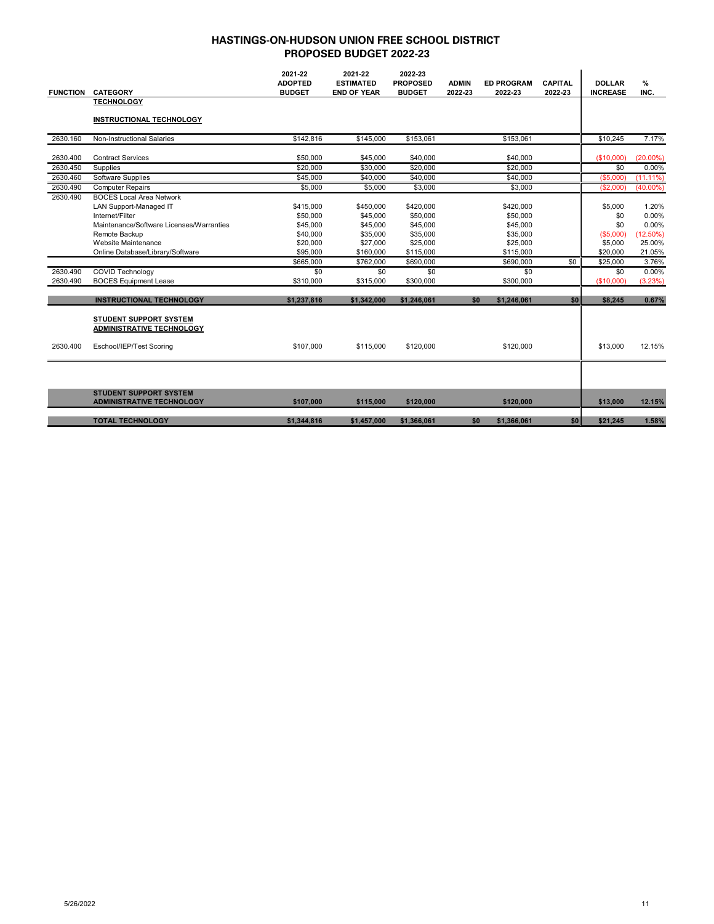|                      |                                                                                                                                           | 2021-22<br><b>ADOPTED</b>                     | 2021-22<br><b>ESTIMATED</b>                   | 2022-23<br><b>PROPOSED</b>                    | <b>ADMIN</b> | <b>ED PROGRAM</b>                             | <b>CAPITAL</b> | <b>DOLLAR</b>                      | %                                      |
|----------------------|-------------------------------------------------------------------------------------------------------------------------------------------|-----------------------------------------------|-----------------------------------------------|-----------------------------------------------|--------------|-----------------------------------------------|----------------|------------------------------------|----------------------------------------|
| <b>FUNCTION</b>      | <b>CATEGORY</b>                                                                                                                           | <b>BUDGET</b>                                 | <b>END OF YEAR</b>                            | <b>BUDGET</b>                                 | 2022-23      | 2022-23                                       | 2022-23        | <b>INCREASE</b>                    | INC.                                   |
|                      | <b>TECHNOLOGY</b>                                                                                                                         |                                               |                                               |                                               |              |                                               |                |                                    |                                        |
|                      | <b>INSTRUCTIONAL TECHNOLOGY</b>                                                                                                           |                                               |                                               |                                               |              |                                               |                |                                    |                                        |
| 2630.160             | <b>Non-Instructional Salaries</b>                                                                                                         | \$142,816                                     | \$145,000                                     | \$153,061                                     |              | \$153,061                                     |                | \$10,245                           | 7.17%                                  |
| 2630.400             | <b>Contract Services</b>                                                                                                                  | \$50,000                                      | \$45,000                                      | \$40,000                                      |              | \$40,000                                      |                | (\$10,000)                         | $(20.00\%)$                            |
| 2630.450             | Supplies                                                                                                                                  | \$20,000                                      | \$30,000                                      | \$20,000                                      |              | \$20,000                                      |                | \$0                                | 0.00%                                  |
| 2630.460             | Software Supplies                                                                                                                         | \$45,000                                      | \$40,000                                      | \$40,000                                      |              | \$40,000                                      |                | (S5,000)                           | $(11.11\%)$                            |
| 2630.490             | <b>Computer Repairs</b>                                                                                                                   | \$5,000                                       | \$5,000                                       | \$3,000                                       |              | \$3,000                                       |                | (\$2,000)                          | $(40.00\%)$                            |
| 2630.490             | <b>BOCES Local Area Network</b><br>LAN Support-Managed IT<br>Internet/Filter<br>Maintenance/Software Licenses/Warranties<br>Remote Backup | \$415.000<br>\$50,000<br>\$45,000<br>\$40,000 | \$450,000<br>\$45,000<br>\$45,000<br>\$35,000 | \$420,000<br>\$50,000<br>\$45,000<br>\$35,000 |              | \$420,000<br>\$50,000<br>\$45,000<br>\$35,000 |                | \$5,000<br>\$0<br>\$0<br>(\$5,000) | 1.20%<br>0.00%<br>0.00%<br>$(12.50\%)$ |
|                      | Website Maintenance                                                                                                                       | \$20,000                                      | \$27,000                                      | \$25,000                                      |              | \$25,000                                      |                | \$5,000                            | 25.00%                                 |
|                      | Online Database/Library/Software                                                                                                          | \$95,000                                      | \$160,000                                     | \$115,000                                     |              | \$115,000                                     |                | \$20,000                           | 21.05%                                 |
|                      |                                                                                                                                           | \$665,000<br>\$0                              | \$762,000                                     | \$690,000                                     |              | \$690,000<br>\$0                              | \$0            | \$25,000                           | 3.76%<br>0.00%                         |
| 2630.490<br>2630.490 | <b>COVID Technology</b><br><b>BOCES Equipment Lease</b>                                                                                   | \$310,000                                     | \$0<br>\$315,000                              | \$0<br>\$300,000                              |              | \$300,000                                     |                | \$0<br>(\$10,000)                  | (3.23%)                                |
|                      |                                                                                                                                           |                                               |                                               |                                               |              |                                               |                |                                    |                                        |
|                      | <b>INSTRUCTIONAL TECHNOLOGY</b>                                                                                                           | \$1,237,816                                   | \$1,342,000                                   | \$1,246,061                                   | \$0          | \$1,246,061                                   | \$0            | \$8,245                            | 0.67%                                  |
| 2630.400             | <b>STUDENT SUPPORT SYSTEM</b><br><b>ADMINISTRATIVE TECHNOLOGY</b><br>Eschool/IEP/Test Scoring                                             | \$107,000                                     | \$115,000                                     | \$120,000                                     |              | \$120,000                                     |                | \$13,000                           | 12.15%                                 |
|                      | <b>STUDENT SUPPORT SYSTEM</b><br><b>ADMINISTRATIVE TECHNOLOGY</b>                                                                         | \$107,000                                     | \$115,000                                     | \$120,000                                     |              | \$120,000                                     |                | \$13,000                           | 12.15%                                 |
|                      |                                                                                                                                           |                                               |                                               |                                               |              |                                               |                |                                    |                                        |
|                      | <b>TOTAL TECHNOLOGY</b>                                                                                                                   | \$1,344,816                                   | \$1,457,000                                   | \$1,366,061                                   | \$0          | \$1,366,061                                   | \$0            | \$21,245                           | 1.58%                                  |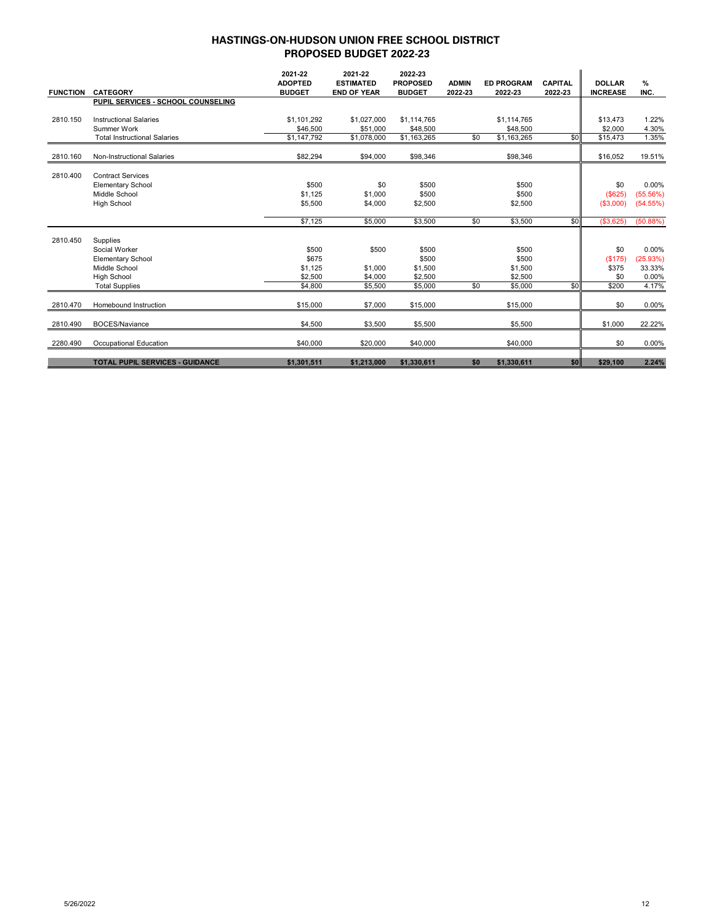| <b>FUNCTION</b> | <b>CATEGORY</b>                        | 2021-22<br><b>ADOPTED</b><br><b>BUDGET</b> | 2021-22<br><b>ESTIMATED</b><br><b>END OF YEAR</b> | 2022-23<br><b>PROPOSED</b><br><b>BUDGET</b> | <b>ADMIN</b><br>2022-23 | <b>ED PROGRAM</b><br>2022-23 | <b>CAPITAL</b><br>2022-23 | <b>DOLLAR</b><br><b>INCREASE</b> | $\%$<br>INC. |
|-----------------|----------------------------------------|--------------------------------------------|---------------------------------------------------|---------------------------------------------|-------------------------|------------------------------|---------------------------|----------------------------------|--------------|
|                 | PUPIL SERVICES - SCHOOL COUNSELING     |                                            |                                                   |                                             |                         |                              |                           |                                  |              |
|                 |                                        |                                            |                                                   |                                             |                         |                              |                           |                                  |              |
| 2810.150        | <b>Instructional Salaries</b>          | \$1.101.292                                | \$1,027,000                                       | \$1,114,765                                 |                         | \$1,114,765                  |                           | \$13,473                         | 1.22%        |
|                 | Summer Work                            | \$46,500                                   | \$51,000                                          | \$48,500                                    |                         | \$48,500                     |                           | \$2,000                          | 4.30%        |
|                 | <b>Total Instructional Salaries</b>    | \$1,147,792                                | \$1,078,000                                       | \$1,163,265                                 | \$0                     | \$1,163,265                  | \$0                       | \$15,473                         | 1.35%        |
| 2810.160        | Non-Instructional Salaries             | \$82,294                                   | \$94,000                                          | \$98,346                                    |                         | \$98,346                     |                           | \$16,052                         | 19.51%       |
|                 |                                        |                                            |                                                   |                                             |                         |                              |                           |                                  |              |
| 2810.400        | <b>Contract Services</b>               |                                            |                                                   |                                             |                         |                              |                           |                                  |              |
|                 | <b>Elementary School</b>               | \$500                                      | \$0                                               | \$500                                       |                         | \$500                        |                           | \$0                              | 0.00%        |
|                 | Middle School                          | \$1.125                                    | \$1,000                                           | \$500                                       |                         | \$500                        |                           | (\$625)                          | (55.56%)     |
|                 | <b>High School</b>                     | \$5,500                                    | \$4,000                                           | \$2,500                                     |                         | \$2,500                      |                           | (\$3,000)                        | (54.55%)     |
|                 |                                        | \$7,125                                    | \$5,000                                           | \$3,500                                     | \$0                     | \$3,500                      | \$0                       | (\$3,625)                        | (50.88%)     |
| 2810.450        | Supplies                               |                                            |                                                   |                                             |                         |                              |                           |                                  |              |
|                 | Social Worker                          | \$500                                      | \$500                                             | \$500                                       |                         | \$500                        |                           | \$0                              | 0.00%        |
|                 | <b>Elementary School</b>               | \$675                                      |                                                   | \$500                                       |                         | \$500                        |                           | (\$175)                          | (25.93%)     |
|                 | Middle School                          | \$1.125                                    | \$1,000                                           | \$1,500                                     |                         | \$1,500                      |                           | \$375                            | 33.33%       |
|                 | <b>High School</b>                     | \$2,500                                    | \$4,000                                           | \$2,500                                     |                         | \$2,500                      |                           | \$0                              | 0.00%        |
|                 | <b>Total Supplies</b>                  | \$4,800                                    | \$5,500                                           | \$5,000                                     | \$0                     | \$5,000                      | \$0                       | \$200                            | 4.17%        |
| 2810.470        | Homebound Instruction                  | \$15,000                                   | \$7,000                                           | \$15,000                                    |                         | \$15,000                     |                           | \$0                              | 0.00%        |
| 2810.490        | <b>BOCES/Naviance</b>                  | \$4,500                                    | \$3,500                                           | \$5,500                                     |                         | \$5,500                      |                           | \$1,000                          | 22.22%       |
| 2280.490        | Occupational Education                 | \$40,000                                   | \$20,000                                          | \$40,000                                    |                         | \$40,000                     |                           | \$0                              | 0.00%        |
|                 | <b>TOTAL PUPIL SERVICES - GUIDANCE</b> | \$1,301,511                                | \$1,213,000                                       | \$1,330,611                                 | \$0                     | \$1,330,611                  | \$0                       | \$29,100                         | 2.24%        |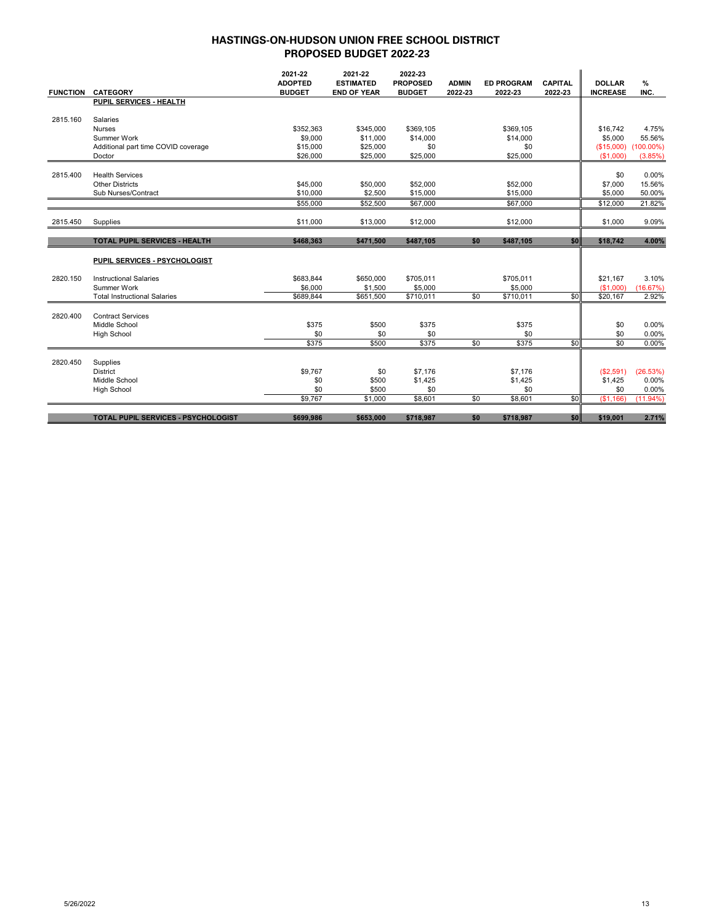|                 |                                            | 2021-22<br><b>ADOPTED</b> | 2021-22<br><b>ESTIMATED</b> | 2022-23<br><b>PROPOSED</b> | <b>ADMIN</b> | <b>ED PROGRAM</b> | <b>CAPITAL</b> | <b>DOLLAR</b>   | %            |
|-----------------|--------------------------------------------|---------------------------|-----------------------------|----------------------------|--------------|-------------------|----------------|-----------------|--------------|
| <b>FUNCTION</b> | <b>CATEGORY</b>                            | <b>BUDGET</b>             | <b>END OF YEAR</b>          | <b>BUDGET</b>              | 2022-23      | 2022-23           | 2022-23        | <b>INCREASE</b> | INC.         |
|                 | PUPIL SERVICES - HEALTH                    |                           |                             |                            |              |                   |                |                 |              |
|                 |                                            |                           |                             |                            |              |                   |                |                 |              |
| 2815.160        | Salaries                                   |                           |                             |                            |              |                   |                |                 |              |
|                 | <b>Nurses</b>                              | \$352.363                 | \$345.000                   | \$369.105                  |              | \$369.105         |                | \$16,742        | 4.75%        |
|                 | Summer Work                                | \$9,000                   | \$11,000                    | \$14,000                   |              | \$14,000          |                | \$5,000         | 55.56%       |
|                 | Additional part time COVID coverage        | \$15,000                  | \$25,000                    | \$0                        |              | \$0               |                | (\$15,000)      | $(100.00\%)$ |
|                 | Doctor                                     | \$26,000                  | \$25,000                    | \$25,000                   |              | \$25,000          |                | (S1.000)        | (3.85%)      |
|                 |                                            |                           |                             |                            |              |                   |                |                 |              |
| 2815.400        | <b>Health Services</b>                     |                           |                             |                            |              |                   |                | \$0             | 0.00%        |
|                 | <b>Other Districts</b>                     | \$45,000                  | \$50,000                    | \$52,000                   |              | \$52,000          |                | \$7,000         | 15.56%       |
|                 | Sub Nurses/Contract                        | \$10,000                  | \$2,500                     | \$15,000                   |              | \$15,000          |                | \$5,000         | 50.00%       |
|                 |                                            | \$55,000                  | \$52,500                    | \$67,000                   |              | \$67,000          |                | \$12,000        | 21.82%       |
| 2815.450        | Supplies                                   | \$11,000                  | \$13,000                    | \$12,000                   |              | \$12,000          |                | \$1,000         | 9.09%        |
|                 |                                            |                           |                             |                            |              |                   |                |                 |              |
|                 | <b>TOTAL PUPIL SERVICES - HEALTH</b>       | \$468,363                 | \$471,500                   | \$487,105                  | \$0          | \$487,105         | \$0            | \$18,742        | 4.00%        |
|                 | PUPIL SERVICES - PSYCHOLOGIST              |                           |                             |                            |              |                   |                |                 |              |
| 2820.150        | <b>Instructional Salaries</b>              | \$683.844                 | \$650,000                   | \$705,011                  |              | \$705.011         |                | \$21.167        | 3.10%        |
|                 | Summer Work                                | \$6,000                   | \$1,500                     | \$5,000                    |              | \$5,000           |                | (\$1,000)       | (16.67%)     |
|                 | <b>Total Instructional Salaries</b>        | \$689.844                 | \$651,500                   | \$710,011                  | \$0          | \$710,011         | \$0            | \$20,167        | 2.92%        |
| 2820.400        | <b>Contract Services</b>                   |                           |                             |                            |              |                   |                |                 |              |
|                 | Middle School                              | \$375                     | \$500                       | \$375                      |              | \$375             |                | \$0             | 0.00%        |
|                 | <b>High School</b>                         | \$0                       | \$0                         | \$0                        |              | \$0               |                | \$0             | 0.00%        |
|                 |                                            | \$375                     | \$500                       | \$375                      | \$0          | \$375             | \$0            | \$0             | 0.00%        |
| 2820.450        | Supplies                                   |                           |                             |                            |              |                   |                |                 |              |
|                 | District                                   | \$9,767                   | \$0                         | \$7,176                    |              | \$7,176           |                | (\$2,591)       | (26.53%)     |
|                 | Middle School                              | \$0                       | \$500                       | \$1,425                    |              | \$1,425           |                | \$1,425         | 0.00%        |
|                 | <b>High School</b>                         | \$0                       | \$500                       | \$0                        |              | \$0               |                | \$0             | 0.00%        |
|                 |                                            | \$9,767                   | \$1,000                     | \$8,601                    | \$0          | \$8,601           | \$0            | (S1, 166)       | $(11.94\%)$  |
|                 | <b>TOTAL PUPIL SERVICES - PSYCHOLOGIST</b> | \$699.986                 | \$653.000                   | \$718.987                  | \$0          | \$718.987         | \$0            | \$19.001        | 2.71%        |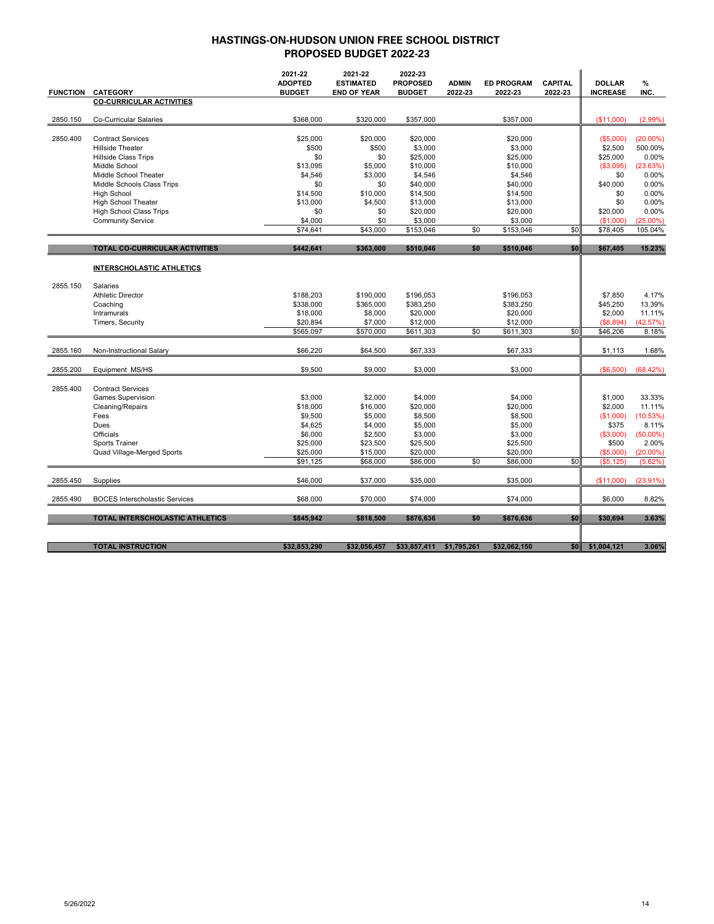|                 |                                       | 2021-22<br><b>ADOPTED</b> | 2021-22<br><b>ESTIMATED</b> | 2022-23<br><b>PROPOSED</b> | <b>ADMIN</b> | <b>ED PROGRAM</b> | <b>CAPITAL</b> | <b>DOLLAR</b>   | %           |
|-----------------|---------------------------------------|---------------------------|-----------------------------|----------------------------|--------------|-------------------|----------------|-----------------|-------------|
| <b>FUNCTION</b> | <b>CATEGORY</b>                       | <b>BUDGET</b>             | <b>END OF YEAR</b>          | <b>BUDGET</b>              | 2022-23      | 2022-23           | 2022-23        | <b>INCREASE</b> | INC.        |
|                 | <b>CO-CURRICULAR ACTIVITIES</b>       |                           |                             |                            |              |                   |                |                 |             |
| 2850.150        | Co-Curricular Salaries                | \$368,000                 | \$320,000                   | \$357,000                  |              | \$357,000         |                | (\$11,000)      | (2.99%)     |
|                 |                                       |                           |                             |                            |              |                   |                |                 |             |
| 2850.400        | <b>Contract Services</b>              | \$25,000                  | \$20,000                    | \$20,000                   |              | \$20,000          |                | (\$5,000)       | $(20.00\%)$ |
|                 | <b>Hillside Theater</b>               | \$500                     | \$500                       | \$3,000                    |              | \$3,000           |                | \$2,500         | 500.00%     |
|                 | <b>Hillside Class Trips</b>           | \$0                       | \$0                         | \$25,000                   |              | \$25,000          |                | \$25,000        | 0.00%       |
|                 | Middle School                         | \$13,095                  | \$5,000                     | \$10,000                   |              | \$10,000          |                | (\$3,095)       | (23.63%)    |
|                 | Middle School Theater                 | \$4,546                   | \$3,000                     | \$4,546                    |              | \$4,546           |                | \$0             | 0.00%       |
|                 | Middle Schools Class Trips            | \$0                       | \$0                         | \$40,000                   |              | \$40,000          |                | \$40,000        | 0.00%       |
|                 | <b>High School</b>                    | \$14,500                  | \$10,000                    | \$14,500                   |              | \$14,500          |                | \$0             | 0.00%       |
|                 | High School Theater                   | \$13,000                  | \$4,500                     | \$13,000                   |              | \$13,000          |                | \$0             | 0.00%       |
|                 | <b>High School Class Trips</b>        | \$0                       | \$0                         | \$20,000                   |              | \$20,000          |                | \$20,000        | 0.00%       |
|                 | <b>Community Service</b>              | \$4,000                   | \$0                         | \$3,000                    |              | \$3,000           |                | (S1,000)        | $(25.00\%)$ |
|                 |                                       | \$74,641                  | \$43,000                    | \$153,046                  | \$0          | \$153,046         | \$0            | \$78,405        | 105.04%     |
|                 |                                       |                           |                             |                            |              |                   |                |                 |             |
|                 | TOTAL CO-CURRICULAR ACTIVITIES        | \$442,641                 | \$363,000                   | \$510,046                  | \$0          | \$510,046         | \$0            | \$67,405        | 15.23%      |
|                 | <b>INTERSCHOLASTIC ATHLETICS</b>      |                           |                             |                            |              |                   |                |                 |             |
| 2855.150        | Salaries                              |                           |                             |                            |              |                   |                |                 |             |
|                 | <b>Athletic Director</b>              | \$188,203                 | \$190,000                   | \$196,053                  |              | \$196,053         |                | \$7,850         | 4.17%       |
|                 | Coaching                              | \$338,000                 | \$365,000                   | \$383,250                  |              | \$383,250         |                | \$45,250        | 13.39%      |
|                 | Intramurals                           | \$18,000                  | \$8,000                     | \$20,000                   |              | \$20,000          |                | \$2,000         | 11.11%      |
|                 | Timers, Security                      | \$20,894                  | \$7,000                     | \$12,000                   |              | \$12,000          |                | (\$8,894)       | (42.57%)    |
|                 |                                       | \$565,097                 | \$570,000                   | \$611,303                  | \$0          | \$611,303         | \$0            | \$46,206        | 8.18%       |
| 2855.160        | Non-Instructional Salary              | \$66,220                  | \$64,500                    | \$67,333                   |              | \$67,333          |                | \$1,113         | 1.68%       |
| 2855.200        | Equipment MS/HS                       | \$9,500                   | \$9,000                     | \$3,000                    |              | \$3,000           |                | (\$6,500)       | (68.42%)    |
| 2855.400        | <b>Contract Services</b>              |                           |                             |                            |              |                   |                |                 |             |
|                 | <b>Games Supervision</b>              | \$3,000                   | \$2,000                     | \$4,000                    |              | \$4,000           |                | \$1,000         | 33.33%      |
|                 | Cleaning/Repairs                      | \$18,000                  | \$16,000                    | \$20,000                   |              | \$20,000          |                | \$2,000         | 11.11%      |
|                 | Fees                                  | \$9,500                   | \$5,000                     | \$8,500                    |              | \$8,500           |                | (\$1,000)       | (10.53%)    |
|                 | Dues                                  | \$4,625                   | \$4,000                     | \$5,000                    |              | \$5,000           |                | \$375           | 8.11%       |
|                 | Officials                             | \$6,000                   | \$2,500                     | \$3,000                    |              | \$3,000           |                | (\$3,000)       | $(50.00\%)$ |
|                 | Sports Trainer                        | \$25,000                  | \$23,500                    | \$25,500                   |              | \$25,500          |                | \$500           | 2.00%       |
|                 | Quad Village-Merged Sports            | \$25,000                  | \$15,000                    | \$20,000                   |              | \$20,000          |                | (\$5,000)       | $(20.00\%)$ |
|                 |                                       | \$91,125                  | \$68,000                    | \$86,000                   | \$0          | \$86,000          | \$0            | (\$5, 125)      | (5.62%)     |
| 2855.450        | Supplies                              | \$46,000                  | \$37,000                    | \$35,000                   |              | \$35,000          |                | (\$11,000)      | $(23.91\%)$ |
| 2855.490        | <b>BOCES</b> Interscholastic Services | \$68,000                  | \$70,000                    | \$74,000                   |              | \$74,000          |                | \$6,000         | 8.82%       |
|                 |                                       |                           |                             |                            |              |                   |                |                 |             |
|                 | TOTAL INTERSCHOLASTIC ATHLETICS       | \$845,942                 | \$818,500                   | \$876,636                  | \$0          | \$876,636         | \$0            | \$30,694        | 3.63%       |
|                 | <b>TOTAL INSTRUCTION</b>              | \$32,853,290              | \$32,056,457                | \$33,857,411               | \$1,795,261  | \$32,062,150      | <b>\$0</b>     | \$1,004,121     | 3.06%       |
|                 |                                       |                           |                             |                            |              |                   |                |                 |             |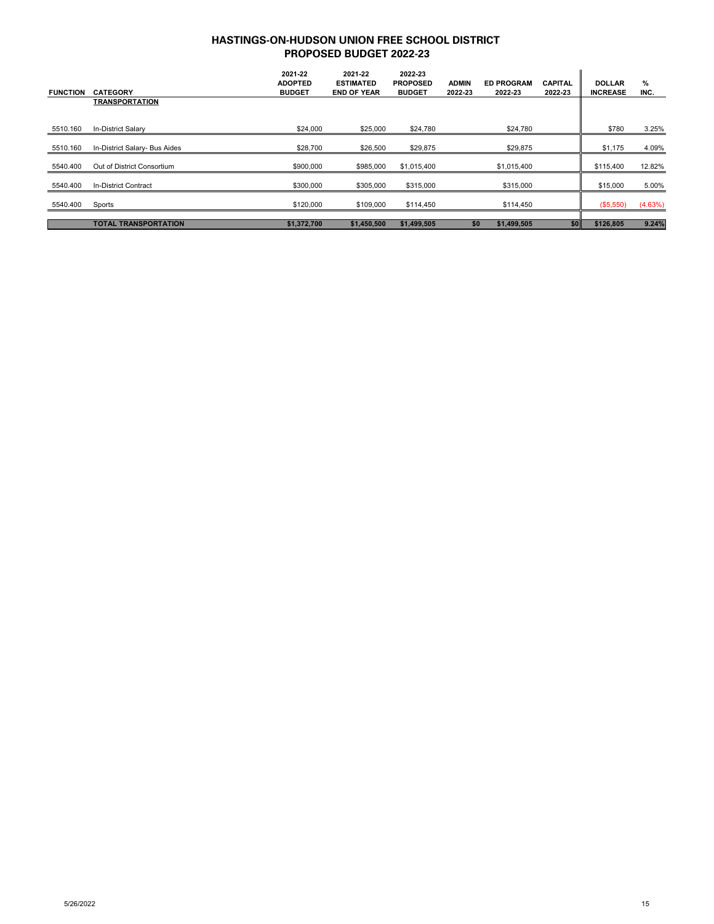| <b>FUNCTION</b> | <b>CATEGORY</b>               | 2021-22<br><b>ADOPTED</b><br><b>BUDGET</b> | 2021-22<br><b>ESTIMATED</b><br><b>END OF YEAR</b> | 2022-23<br><b>PROPOSED</b><br><b>BUDGET</b> | <b>ADMIN</b><br>2022-23 | <b>ED PROGRAM</b><br>2022-23 | CAPITAL<br>2022 23 | <b>DOLLAR</b><br><b>INCREASE</b> | %<br>INC. |
|-----------------|-------------------------------|--------------------------------------------|---------------------------------------------------|---------------------------------------------|-------------------------|------------------------------|--------------------|----------------------------------|-----------|
|                 | <b>TRANSPORTATION</b>         |                                            |                                                   |                                             |                         |                              |                    |                                  |           |
| 5510.160        | In-District Salary            | \$24,000                                   | \$25,000                                          | \$24,780                                    |                         | \$24,780                     |                    | \$780                            | 3.25%     |
| 5510.160        | In-District Salary- Bus Aides | \$28,700                                   | \$26,500                                          | \$29,875                                    |                         | \$29,875                     |                    | \$1,175                          | 4.09%     |
| 5540.400        | Out of District Consortium    | \$900,000                                  | \$985,000                                         | \$1,015,400                                 |                         | \$1,015,400                  |                    | \$115,400                        | 12.82%    |
| 5540.400        | <b>In-District Contract</b>   | \$300,000                                  | \$305,000                                         | \$315,000                                   |                         | \$315,000                    |                    | \$15,000                         | 5.00%     |
| 5540.400        | Sports                        | \$120,000                                  | \$109,000                                         | \$114,450                                   |                         | \$114,450                    |                    | (\$5,550)                        | (4.63%)   |
|                 | <b>TOTAL TRANSPORTATION</b>   | \$1,372,700                                | \$1,450,500                                       | \$1,499,505                                 | \$0                     | \$1,499,505                  | \$0                | \$126,805                        | 9.24%     |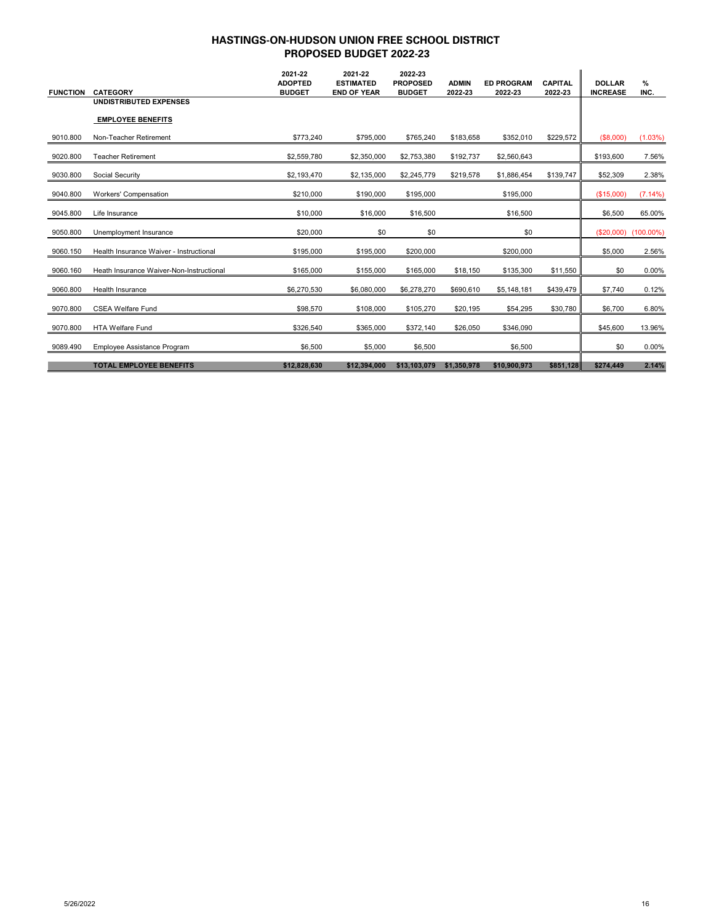| <b>FUNCTION</b> | <b>CATEGORY</b>                          | 2021-22<br><b>ADOPTED</b><br><b>BUDGET</b> | 2021-22<br><b>ESTIMATED</b><br><b>END OF YEAR</b> | 2022-23<br><b>PROPOSED</b><br><b>BUDGET</b> | <b>ADMIN</b><br>2022-23 | <b>ED PROGRAM</b><br>2022-23 | <b>CAPITAL</b><br>2022-23 | <b>DOLLAR</b><br><b>INCREASE</b> | $\%$<br>INC. |
|-----------------|------------------------------------------|--------------------------------------------|---------------------------------------------------|---------------------------------------------|-------------------------|------------------------------|---------------------------|----------------------------------|--------------|
|                 | <b>UNDISTRIBUTED EXPENSES</b>            |                                            |                                                   |                                             |                         |                              |                           |                                  |              |
|                 | <b>EMPLOYEE BENEFITS</b>                 |                                            |                                                   |                                             |                         |                              |                           |                                  |              |
| 9010.800        | Non-Teacher Retirement                   | \$773,240                                  | \$795,000                                         | \$765,240                                   | \$183,658               | \$352,010                    | \$229,572                 | (\$8,000)                        | (1.03%)      |
| 9020.800        | <b>Teacher Retirement</b>                | \$2,559,780                                | \$2,350,000                                       | \$2,753,380                                 | \$192,737               | \$2,560,643                  |                           | \$193,600                        | 7.56%        |
| 9030.800        | Social Security                          | \$2,193,470                                | \$2,135,000                                       | \$2,245,779                                 | \$219,578               | \$1,886,454                  | \$139,747                 | \$52,309                         | 2.38%        |
| 9040.800        | Workers' Compensation                    | \$210,000                                  | \$190,000                                         | \$195,000                                   |                         | \$195,000                    |                           | (\$15,000)                       | (7.14%)      |
| 9045.800        | Life Insurance                           | \$10,000                                   | \$16,000                                          | \$16,500                                    |                         | \$16,500                     |                           | \$6,500                          | 65.00%       |
| 9050.800        | Unemployment Insurance                   | \$20,000                                   | \$0                                               | \$0                                         |                         | \$0                          |                           | (\$20,000)                       | $(100.00\%)$ |
| 9060.150        | Health Insurance Waiver - Instructional  | \$195,000                                  | \$195,000                                         | \$200,000                                   |                         | \$200,000                    |                           | \$5,000                          | 2.56%        |
| 9060.160        | Heath Insurance Waiver-Non-Instructional | \$165,000                                  | \$155,000                                         | \$165,000                                   | \$18,150                | \$135,300                    | \$11,550                  | \$0                              | 0.00%        |
| 9060.800        | Health Insurance                         | \$6,270,530                                | \$6,080,000                                       | \$6,278,270                                 | \$690,610               | \$5,148,181                  | \$439,479                 | \$7,740                          | 0.12%        |
| 9070.800        | <b>CSEA Welfare Fund</b>                 | \$98,570                                   | \$108,000                                         | \$105,270                                   | \$20,195                | \$54,295                     | \$30,780                  | \$6,700                          | 6.80%        |
| 9070.800        | <b>HTA Welfare Fund</b>                  | \$326,540                                  | \$365,000                                         | \$372,140                                   | \$26,050                | \$346,090                    |                           | \$45,600                         | 13.96%       |
| 9089.490        | Employee Assistance Program              | \$6,500                                    | \$5,000                                           | \$6,500                                     |                         | \$6,500                      |                           | \$0                              | 0.00%        |
|                 | <b>TOTAL EMPLOYEE BENEFITS</b>           | \$12,828,630                               | \$12,394,000                                      | \$13,103,079                                | \$1,350,978             | \$10,900,973                 | \$851,128                 | \$274,449                        | 2.14%        |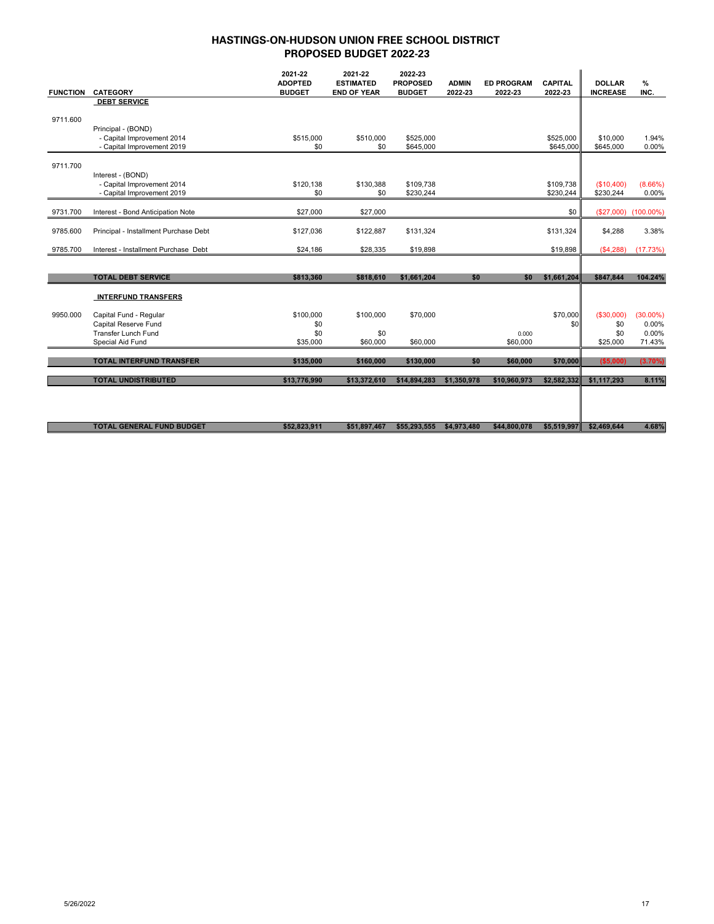| <b>FUNCTION</b> | <b>CATEGORY</b>                       | 2021-22<br><b>ADOPTED</b><br><b>BUDGET</b> | 2021-22<br><b>ESTIMATED</b><br><b>END OF YEAR</b> | 2022-23<br><b>PROPOSED</b><br><b>BUDGET</b> | <b>ADMIN</b><br>2022-23 | <b>ED PROGRAM</b><br>2022-23 | <b>CAPITAL</b><br>2022-23 | <b>DOLLAR</b><br><b>INCREASE</b> | $\%$<br>INC. |
|-----------------|---------------------------------------|--------------------------------------------|---------------------------------------------------|---------------------------------------------|-------------------------|------------------------------|---------------------------|----------------------------------|--------------|
|                 | <b>DEBT SERVICE</b>                   |                                            |                                                   |                                             |                         |                              |                           |                                  |              |
|                 |                                       |                                            |                                                   |                                             |                         |                              |                           |                                  |              |
| 9711.600        |                                       |                                            |                                                   |                                             |                         |                              |                           |                                  |              |
|                 | Principal - (BOND)                    |                                            |                                                   |                                             |                         |                              |                           |                                  |              |
|                 | - Capital Improvement 2014            | \$515,000                                  | \$510,000                                         | \$525,000                                   |                         |                              | \$525,000                 | \$10,000                         | 1.94%        |
|                 | - Capital Improvement 2019            | \$0                                        | \$0                                               | \$645,000                                   |                         |                              | \$645,000                 | \$645,000                        | 0.00%        |
|                 |                                       |                                            |                                                   |                                             |                         |                              |                           |                                  |              |
| 9711.700        |                                       |                                            |                                                   |                                             |                         |                              |                           |                                  |              |
|                 | Interest - (BOND)                     |                                            |                                                   |                                             |                         |                              |                           |                                  |              |
|                 | - Capital Improvement 2014            | \$120,138                                  | \$130,388                                         | \$109,738                                   |                         |                              | \$109,738                 | (\$10,400)                       | (8.66%)      |
|                 | - Capital Improvement 2019            | \$0                                        | \$0                                               | \$230,244                                   |                         |                              | \$230,244                 | \$230,244                        | 0.00%        |
|                 |                                       |                                            |                                                   |                                             |                         |                              |                           |                                  |              |
| 9731.700        | Interest - Bond Anticipation Note     | \$27,000                                   | \$27,000                                          |                                             |                         |                              | \$0                       | (\$27,000)                       | $(100.00\%)$ |
|                 |                                       |                                            |                                                   |                                             |                         |                              |                           |                                  |              |
| 9785.600        | Principal - Installment Purchase Debt | \$127,036                                  | \$122,887                                         | \$131,324                                   |                         |                              | \$131,324                 | \$4,288                          | 3.38%        |
| 9785.700        | Interest - Installment Purchase Debt  | \$24,186                                   | \$28,335                                          | \$19,898                                    |                         |                              | \$19,898                  | (S4, 288)                        | (17.73%)     |
|                 |                                       |                                            |                                                   |                                             |                         |                              |                           |                                  |              |
|                 |                                       |                                            |                                                   |                                             |                         |                              |                           |                                  |              |
|                 | <b>TOTAL DEBT SERVICE</b>             | \$813,360                                  | \$818,610                                         | \$1,661,204                                 | \$0                     | \$0                          | \$1,661,204               | \$847,844                        | 104.24%      |
|                 |                                       |                                            |                                                   |                                             |                         |                              |                           |                                  |              |
|                 | <b>INTERFUND TRANSFERS</b>            |                                            |                                                   |                                             |                         |                              |                           |                                  |              |
| 9950.000        | Capital Fund - Regular                | \$100,000                                  | \$100,000                                         | \$70,000                                    |                         |                              | \$70,000                  | ( \$30,000)                      | $(30.00\%)$  |
|                 | Capital Reserve Fund                  | \$0                                        |                                                   |                                             |                         |                              | \$0                       | \$0                              | 0.00%        |
|                 | <b>Transfer Lunch Fund</b>            | \$0                                        | \$0                                               |                                             |                         | 0.000                        |                           | \$0                              | 0.00%        |
|                 | Special Aid Fund                      | \$35,000                                   | \$60,000                                          | \$60,000                                    |                         | \$60,000                     |                           | \$25,000                         | 71.43%       |
|                 |                                       |                                            |                                                   |                                             |                         |                              |                           |                                  |              |
|                 | <b>TOTAL INTERFUND TRANSFER</b>       | \$135,000                                  | \$160,000                                         | \$130,000                                   | \$0                     | \$60,000                     | \$70,000                  | (\$5,000)                        | $(3.70\%)$   |
|                 |                                       |                                            |                                                   |                                             |                         |                              |                           |                                  |              |
|                 | <b>TOTAL UNDISTRIBUTED</b>            | \$13,776,990                               | \$13,372,610                                      | \$14,894,283                                | \$1,350,978             | \$10,960,973                 | \$2,582,332               | \$1,117,293                      | 8.11%        |
|                 |                                       |                                            |                                                   |                                             |                         |                              |                           |                                  |              |
|                 |                                       |                                            |                                                   |                                             |                         |                              |                           |                                  |              |
|                 |                                       |                                            |                                                   |                                             |                         |                              |                           |                                  |              |
|                 | <b>TOTAL GENERAL FUND BUDGET</b>      | \$52.823.911                               | \$51.897.467                                      | \$55,293,555                                | \$4.973.480             | \$44,800,078                 | \$5,519,997               | \$2.469.644                      | 4.68%        |